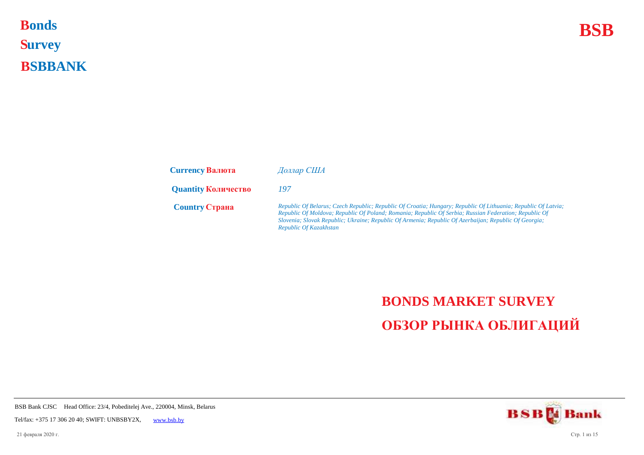## **Bonds BSB S urvey B SBBANK Bonds**

| <b>Currency Валюта</b>     | Доллар США                                                                                                                                                                                                                                                                                                                                                |
|----------------------------|-----------------------------------------------------------------------------------------------------------------------------------------------------------------------------------------------------------------------------------------------------------------------------------------------------------------------------------------------------------|
| <b>Quantity Количество</b> | 197                                                                                                                                                                                                                                                                                                                                                       |
| <b>Country Crpaha</b>      | Republic Of Belarus; Czech Republic; Republic Of Croatia; Hungary; Republic Of Lithuania; Republic Of Latvia;<br>Republic Of Moldova; Republic Of Poland; Romania; Republic Of Serbia; Russian Federation; Republic Of<br>Slovenia; Slovak Republic; Ukraine; Republic Of Armenia; Republic Of Azerbaijan; Republic Of Georgia;<br>Republic Of Kazakhstan |

## **BONDS MARKET SURVEY ОБЗОР РЫНКА ОБЛИГАЦИЙ**

**BSBM** Bank

BSB Bank CJSC Head Office: 23/4, Pobeditelej Ave., 220004, Minsk, Belarus

Tel/fax: +375 17 306 20 40; SWIFT: UNBSBY2X, [www.bsb.by](https://www.bsb.by/)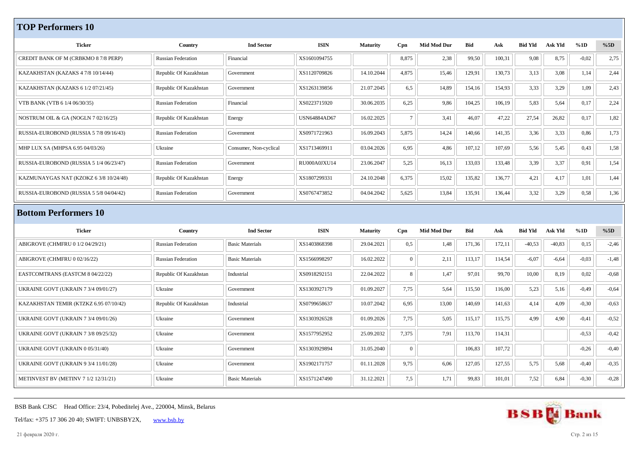## **TOP Performers 10**

| <b>Ticker</b>                               | Country                   | <b>Ind Sector</b>      | <b>ISIN</b>         | <b>Maturity</b> | Cpn            | <b>Mid Mod Dur</b> | <b>Bid</b> | Ask    | <b>Bid Yld</b> | Ask Yld  | %1D     | %5D     |
|---------------------------------------------|---------------------------|------------------------|---------------------|-----------------|----------------|--------------------|------------|--------|----------------|----------|---------|---------|
| CREDIT BANK OF M (CRBKMO 8 7/8 PERP)        | <b>Russian Federation</b> | Financial              | XS1601094755        |                 | 8,875          | 2,38               | 99,50      | 100,31 | 9,08           | 8,75     | $-0,02$ | 2,75    |
| KAZAKHSTAN (KAZAKS 4 7/8 10/14/44)          | Republic Of Kazakhstan    | Government             | XS1120709826        | 14.10.2044      | 4,875          | 15,46              | 129,91     | 130,73 | 3,13           | 3,08     | 1,14    | 2,44    |
| KAZAKHSTAN (KAZAKS 6 1/2 07/21/45)          | Republic Of Kazakhstan    | Government             | XS1263139856        | 21.07.2045      | 6,5            | 14,89              | 154,16     | 154,93 | 3,33           | 3,29     | 1,09    | 2,43    |
| VTB BANK (VTB 6 1/4 06/30/35)               | <b>Russian Federation</b> | Financial              | XS0223715920        | 30.06.2035      | 6,25           | 9,86               | 104,25     | 106,19 | 5,83           | 5,64     | 0,17    | 2,24    |
| NOSTRUM OIL & GA (NOGLN 7 02/16/25)         | Republic Of Kazakhstan    | Energy                 | <b>USN64884AD67</b> | 16.02.2025      | $\overline{7}$ | 3,41               | 46,07      | 47,22  | 27,54          | 26,82    | 0,17    | 1,82    |
| RUSSIA-EUROBOND (RUSSIA 5 7/8 09/16/43)     | <b>Russian Federation</b> | Government             | XS0971721963        | 16.09.2043      | 5,875          | 14,24              | 140,66     | 141,35 | 3,36           | 3,33     | 0,86    | 1,73    |
| MHP LUX SA (MHPSA 6.95 04/03/26)            | Ukraine                   | Consumer, Non-cyclical | XS1713469911        | 03.04.2026      | 6,95           | 4,86               | 107,12     | 107,69 | 5,56           | 5,45     | 0,43    | 1,58    |
| RUSSIA-EUROBOND (RUSSIA 5 1/4 06/23/47)     | <b>Russian Federation</b> | Government             | RU000A0JXU14        | 23.06.2047      | 5,25           | 16,13              | 133,03     | 133,48 | 3,39           | 3,37     | 0,91    | 1,54    |
| KAZMUNAYGAS NAT (KZOKZ 6 3/8 10/24/48)      | Republic Of Kazakhstan    | Energy                 | XS1807299331        | 24.10.2048      | 6,375          | 15,02              | 135,82     | 136,77 | 4,21           | 4,17     | 1,01    | 1,44    |
| RUSSIA-EUROBOND (RUSSIA 5 5/8 04/04/42)     | <b>Russian Federation</b> | Government             | XS0767473852        | 04.04.2042      | 5,625          | 13,84              | 135,91     | 136,44 | 3,32           | 3,29     | 0,58    | 1,36    |
| <b>Bottom Performers 10</b>                 |                           |                        |                     |                 |                |                    |            |        |                |          |         |         |
| <b>Ticker</b>                               | Country                   | <b>Ind Sector</b>      | <b>ISIN</b>         | <b>Maturity</b> | Cpn            | <b>Mid Mod Dur</b> | <b>Bid</b> | Ask    | <b>Bid Yld</b> | Ask Yld  | %1D     | %5D     |
| ABIGROVE (CHMFRU 0 1/2 04/29/21)            | <b>Russian Federation</b> | <b>Basic Materials</b> | XS1403868398        | 29.04.2021      | 0,5            | 1,48               | 171,36     | 172,11 | $-40,53$       | $-40,83$ | 0,15    | $-2,46$ |
| ABIGROVE (CHMFRU 0 02/16/22)                | <b>Russian Federation</b> | <b>Basic Materials</b> | XS1566998297        | 16.02.2022      | $\Omega$       | 2,11               | 113,17     | 114,54 | $-6,07$        | $-6,64$  | $-0.03$ | $-1,48$ |
| EASTCOMTRANS (EASTCM 8 04/22/22)            | Republic Of Kazakhstan    | Industrial             | XS0918292151        | 22.04.2022      | 8              | 1,47               | 97,01      | 99,70  | 10,00          | 8,19     | 0,02    | $-0,68$ |
| <b>UKRAINE GOVT (UKRAIN 7 3/4 09/01/27)</b> | Ukraine                   | Government             | XS1303927179        | 01.09.2027      | 7,75           | 5,64               | 115,50     | 116,00 | 5,23           | 5,16     | $-0.49$ | $-0,64$ |
| KAZAKHSTAN TEMIR (KTZKZ 6.95 07/10/42)      | Republic Of Kazakhstan    | Industrial             | XS0799658637        | 10.07.2042      | 6,95           | 13,00              | 140,69     | 141,63 | 4,14           | 4,09     | $-0.30$ | $-0,63$ |
| UKRAINE GOVT (UKRAIN 7 3/4 09/01/26)        | Ukraine                   | Government             | XS1303926528        | 01.09.2026      | 7,75           | 5,05               | 115,17     | 115,75 | 4,99           | 4,90     | $-0,41$ | $-0,52$ |
| <b>UKRAINE GOVT (UKRAIN 7 3/8 09/25/32)</b> |                           |                        |                     |                 |                | 7,91               | 113,70     | 114,31 |                |          |         | $-0,42$ |
|                                             | Ukraine                   | Government             | XS1577952952        | 25.09.2032      | 7,375          |                    |            |        |                |          | $-0,53$ |         |
| UKRAINE GOVT (UKRAIN 0 05/31/40)            | Ukraine                   | Government             | XS1303929894        | 31.05.2040      | $\overline{0}$ |                    | 106,83     | 107,72 |                |          | $-0,26$ | $-0,40$ |
| UKRAINE GOVT (UKRAIN 9 3/4 11/01/28)        | Ukraine                   | Government             | XS1902171757        | 01.11.2028      | 9,75           | 6,06               | 127,05     | 127,55 | 5,75           | 5,68     | $-0,40$ | $-0,35$ |

BSB Bank CJSC Head Office: 23/4, Pobeditelej Ave., 220004, Minsk, Belarus

Tel/fax: +375 17 306 20 40; SWIFT: UNBSBY2X, [www.bsb.by](https://www.bsb.by/)



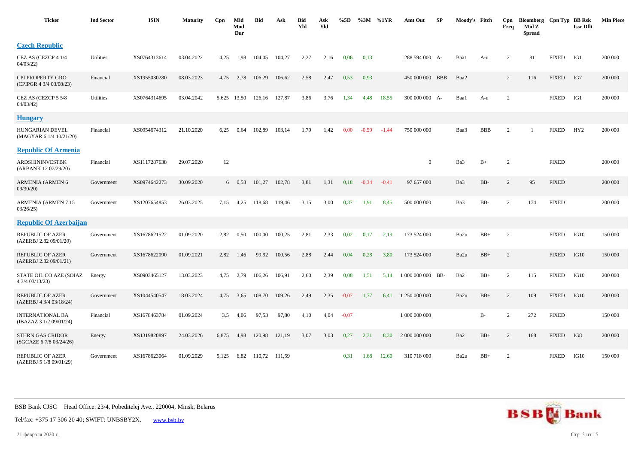| <b>Ticker</b>                                      | <b>Ind Sector</b> | <b>ISIN</b>  | <b>Maturity</b> | Cpn   | Mid<br>Mod<br>Dur | Bid                | Ask    | Bid<br>Yld | Ask<br>Yld | %5D     | %3M     | %1YR    | Amt Out           | SP | Moody's Fitch |            | Cpn<br>Freq    | Bloomberg Cpn Typ BB Rsk<br>Mid Z<br><b>Spread</b> |              | <b>Issr Dflt</b> | <b>Min Piece</b> |
|----------------------------------------------------|-------------------|--------------|-----------------|-------|-------------------|--------------------|--------|------------|------------|---------|---------|---------|-------------------|----|---------------|------------|----------------|----------------------------------------------------|--------------|------------------|------------------|
| <b>Czech Republic</b>                              |                   |              |                 |       |                   |                    |        |            |            |         |         |         |                   |    |               |            |                |                                                    |              |                  |                  |
| CEZ AS (CEZCP 4 1/4<br>04/03/22                    | Utilities         | XS0764313614 | 03.04.2022      | 4,25  | 1,98              | 104,05             | 104,27 | 2,27       | 2,16       | 0,06    | 0,13    |         | 288 594 000 A-    |    | Baa1          | A-u        | $\overline{c}$ | 81                                                 | <b>FIXED</b> | IG1              | 200 000          |
| CPI PROPERTY GRO<br>(CPIPGR 4 3/4 03/08/23)        | Financial         | XS1955030280 | 08.03.2023      | 4,75  | 2,78              | 106,29             | 106,62 | 2,58       | 2,47       | 0,53    | 0,93    |         | 450 000 000 BBB   |    | Baa2          |            | 2              | 116                                                | <b>FIXED</b> | IG7              | 200 000          |
| CEZ AS (CEZCP 5 5/8<br>04/03/42                    | Utilities         | XS0764314695 | 03.04.2042      |       |                   | 5,625 13,50 126,16 | 127,87 | 3,86       | 3,76       | 1,34    | 4,48    | 18,55   | 300 000 000 A-    |    | Baa1          | A-u        | $\overline{2}$ |                                                    | <b>FIXED</b> | IG1              | 200 000          |
| <b>Hungary</b>                                     |                   |              |                 |       |                   |                    |        |            |            |         |         |         |                   |    |               |            |                |                                                    |              |                  |                  |
| HUNGARIAN DEVEL<br>(MAGYAR 6 1/4 10/21/20)         | Financial         | XS0954674312 | 21.10.2020      | 6,25  | 0,64              | 102,89             | 103,14 | 1,79       | 1,42       | 0,00    | $-0.59$ | $-1.44$ | 750 000 000       |    | Baa3          | <b>BBB</b> | 2              |                                                    | <b>FIXED</b> | HY <sub>2</sub>  | 200 000          |
| <b>Republic Of Armenia</b>                         |                   |              |                 |       |                   |                    |        |            |            |         |         |         |                   |    |               |            |                |                                                    |              |                  |                  |
| ARDSHININVESTBK<br>(ARBANK 12 07/29/20)            | Financial         | XS1117287638 | 29.07.2020      | 12    |                   |                    |        |            |            |         |         |         | $\overline{0}$    |    | Ba3           | $B+$       | 2              |                                                    | <b>FIXED</b> |                  | 200 000          |
| <b>ARMENIA (ARMEN 6</b><br>09/30/20                | Government        | XS0974642273 | 30.09.2020      |       | $6\quad 0.58$     | 101,27             | 102,78 | 3,81       | 1,31       | 0,18    | $-0,34$ | $-0.41$ | 97 657 000        |    | Ba3           | BB-        | $\overline{c}$ | 95                                                 | <b>FIXED</b> |                  | 200 000          |
| ARMENIA (ARMEN 7.15<br>03/26/25                    | Government        | XS1207654853 | 26.03.2025      | 7,15  | 4,25              | 118,68             | 119,46 | 3,15       | 3,00       | 0,37    | 1,91    | 8,45    | 500 000 000       |    | Ba3           | BB-        | $\overline{2}$ | 174                                                | <b>FIXED</b> |                  | 200 000          |
| <b>Republic Of Azerbaijan</b>                      |                   |              |                 |       |                   |                    |        |            |            |         |         |         |                   |    |               |            |                |                                                    |              |                  |                  |
| <b>REPUBLIC OF AZER</b><br>(AZERBJ 2.82 09/01/20)  | Government        | XS1678621522 | 01.09.2020      | 2,82  | 0,50              | 100,00             | 100,25 | 2,81       | 2,33       | 0,02    | 0,17    | 2,19    | 173 524 000       |    | Ba2u          | $BB+$      | 2              |                                                    | <b>FIXED</b> | IG10             | 150 000          |
| <b>REPUBLIC OF AZER</b><br>(AZERBJ 2.82 09/01/21)  | Government        | XS1678622090 | 01.09.2021      | 2,82  | 1,46              | 99,92              | 100,56 | 2,88       | 2,44       | 0,04    | 0,28    | 3,80    | 173 524 000       |    | Ba2u          | $BB+$      | 2              |                                                    | <b>FIXED</b> | IG10             | 150 000          |
| STATE OIL CO AZE (SOIAZ<br>4 3/4 03/13/23)         | Energy            | XS0903465127 | 13.03.2023      | 4,75  | 2,79              | 106,26             | 106,91 | 2,60       | 2,39       | 0,08    | 1,51    | 5,14    | 1 000 000 000 BB- |    | Ba2           | $BB+$      | 2              | 115                                                | <b>FIXED</b> | IG10             | 200 000          |
| <b>REPUBLIC OF AZER</b><br>(AZERBJ 4 3/4 03/18/24) | Government        | XS1044540547 | 18.03.2024      | 4,75  | 3,65              | 108,70             | 109,26 | 2,49       | 2,35       | $-0.07$ | 1.77    | 6.41    | 1 250 000 000     |    | Ba2u          | $BB+$      | 2              | 109                                                | <b>FIXED</b> | IG10             | 200 000          |
| <b>INTERNATIONAL BA</b><br>(IBAZAZ 3 1/2 09/01/24) | Financial         | XS1678463784 | 01.09.2024      | 3,5   | 4,06              | 97,53              | 97,80  | 4,10       | 4,04       | $-0.07$ |         |         | 1 000 000 000     |    |               | B-         | 2              | 272                                                | <b>FIXED</b> |                  | 150 000          |
| <b>STHRN GAS CRIDOR</b><br>(SGCAZE 6 7/8 03/24/26) | Energy            | XS1319820897 | 24.03.2026      | 6,875 | 4,98              | 120,98             | 121,19 | 3,07       | 3,03       | 0,27    | 2,31    | 8,30    | 2 000 000 000     |    | Ba2           | $BB+$      | 2              | 168                                                | <b>FIXED</b> | IG8              | 200 000          |
| <b>REPUBLIC OF AZER</b><br>(AZERBJ 5 1/8 09/01/29) | Government        | XS1678623064 | 01.09.2029      | 5,125 | 6,82              | 110,72             | 111,59 |            |            | 0,31    | 1,68    | 12,60   | 310 718 000       |    | Ba2u          | $BB+$      | 2              |                                                    | <b>FIXED</b> | IG10             | 150 000          |



Tel/fax: +375 17 306 20 40; SWIFT: UNBSBY2X, [www.bsb.by](https://www.bsb.by/)

21 февраля 2020 г. Стр. 3 из 15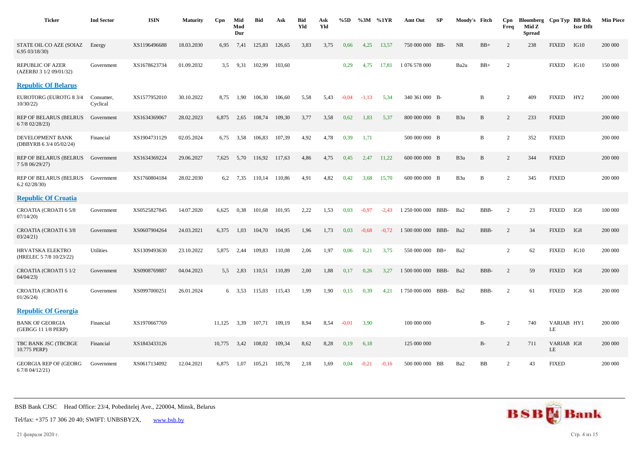| <b>Ticker</b>                                      | <b>Ind Sector</b>     | <b>ISIN</b>  | <b>Maturity</b> | Cpn    | Mid<br>Mod<br>Dur | <b>Bid</b> | Ask    | <b>Bid</b><br>Yld | Ask<br>Yld | %5D     | $\%3M$  | %1YR    | Amt Out            | SP   | Moody's Fitch |       | Cpn<br>Freq    | Bloomberg Cpn Typ BB Rsk<br>Mid Z<br><b>Spread</b> |                  | <b>Issr Dflt</b> | <b>Min Piece</b> |
|----------------------------------------------------|-----------------------|--------------|-----------------|--------|-------------------|------------|--------|-------------------|------------|---------|---------|---------|--------------------|------|---------------|-------|----------------|----------------------------------------------------|------------------|------------------|------------------|
| STATE OIL CO AZE (SOIAZ<br>6.95 03/18/30)          | Energy                | XS1196496688 | 18.03.2030      | 6,95   | 7,41              | 125,83     | 126,65 | 3,83              | 3,75       | 0,66    | 4,25    | 13,57   | 750 000 000 BB-    |      | NR            | $BB+$ | $\overline{2}$ | 238                                                | <b>FIXED</b>     | IG10             | 200 000          |
| REPUBLIC OF AZER<br>(AZERBJ 3 1/2 09/01/32)        | Government            | XS1678623734 | 01.09.2032      | 3.5    | 9,31              | 102,99     | 103,60 |                   |            | 0,29    | 4,75    | 17,81   | 1 076 578 000      |      | Ba2u          | $BB+$ | 2              |                                                    | <b>FIXED</b>     | IG10             | 150 000          |
| <b>Republic Of Belarus</b>                         |                       |              |                 |        |                   |            |        |                   |            |         |         |         |                    |      |               |       |                |                                                    |                  |                  |                  |
| <b>EUROTORG (EUROTG 8 3/4</b><br>10/30/22)         | Consumer,<br>Cyclical | XS1577952010 | 30.10.2022      | 8,75   | 1,90              | 106,30     | 106,60 | 5,58              | 5,43       | $-0.04$ | $-1.13$ | 5,34    | 340 361 000 B-     |      |               | B     | $\overline{2}$ | 409                                                | <b>FIXED</b>     | HY <sub>2</sub>  | 200 000          |
| <b>REP OF BELARUS (BELRUS</b><br>6 7/8 02/28/23)   | Government            | XS1634369067 | 28.02.2023      | 6,875  | 2,65              | 108,74     | 109,30 | 3,77              | 3,58       | 0,62    | 1,83    | 5,37    | 800 000 000 B      |      | B3u           | B     | 2              | 233                                                | <b>FIXED</b>     |                  | 200 000          |
| DEVELOPMENT BANK<br>(DBBYRB 6 3/4 05/02/24)        | Financial             | XS1904731129 | 02.05.2024      | 6,75   | 3,58              | 106,83     | 107,39 | 4,92              | 4,78       | 0,39    | 1,71    |         | 500 000 000 B      |      |               | B     | 2              | 352                                                | <b>FIXED</b>     |                  | 200 000          |
| REP OF BELARUS (BELRUS<br>7 5/8 06/29/27)          | Government            | XS1634369224 | 29.06.2027      | 7,625  | 5,70              | 116,92     | 117,63 | 4,86              | 4,75       | 0,45    | 2,47    | 11,22   | 600 000 000 B      |      | B3u           | B     | 2              | 344                                                | <b>FIXED</b>     |                  | 200 000          |
| <b>REP OF BELARUS (BELRUS</b><br>6.202/28/30       | Government            | XS1760804184 | 28.02.2030      | 6,2    | 7,35              | 110.14     | 110,86 | 4,91              | 4,82       | 0,42    | 3,68    | 15,70   | 600 000 000 B      |      | B3u           | B     | 2              | 345                                                | <b>FIXED</b>     |                  | 200 000          |
| <b>Republic Of Croatia</b>                         |                       |              |                 |        |                   |            |        |                   |            |         |         |         |                    |      |               |       |                |                                                    |                  |                  |                  |
| CROATIA (CROATI 65/8<br>07/14/20                   | Government            | XS0525827845 | 14.07.2020      | 6.625  | 0.38              | 101,68     | 101.95 | 2,22              | 1,53       | 0,03    | $-0.97$ | $-2.43$ | 1 250 000 000      | BBB- | Ba2           | BBB-  | 2              | 23                                                 | <b>FIXED</b>     | IG8              | 100 000          |
| CROATIA (CROATI 6 3/8<br>03/24/21                  | Government            | XS0607904264 | 24.03.2021      | 6,375  | 1,03              | 104.70     | 104,95 | 1,96              | 1,73       | 0,03    | $-0.68$ | $-0,72$ | 1 500 000 000      | BBB- | Ba2           | BBB-  | 2              | 34                                                 | <b>FIXED</b>     | IG8              | 200 000          |
| <b>HRVATSKA ELEKTRO</b><br>(HRELEC 5 7/8 10/23/22) | Utilities             | XS1309493630 | 23.10.2022      | 5,875  | 2,44              | 109,83     | 110,08 | 2,06              | 1,97       | 0,06    | 0,21    | 3,75    | 550 000 000 BB+    |      | Ba2           |       | 2              | 62                                                 | <b>FIXED</b>     | IG10             | 200 000          |
| <b>CROATIA (CROATI 5 1/2</b><br>04/04/23           | Government            | XS0908769887 | 04.04.2023      | 5,5    | 2,83              | 110,51     | 110,89 | 2,00              | 1,88       | 0,17    | 0,26    | 3,27    | 1 500 000 000 BBB- |      | Ba2           | BBB-  | 2              | 59                                                 | <b>FIXED</b>     | IG8              | 200 000          |
| <b>CROATIA (CROATI 6</b><br>01/26/24               | Government            | XS0997000251 | 26.01.2024      |        | 6 3.53            | 115.03     | 115.43 | 1,99              | 1,90       | 0,15    | 0.39    | 4.21    | 1 750 000 000      | BBB- | Ba2           | BBB-  | 2              | 61                                                 | <b>FIXED</b>     | IG8              | 200 000          |
| <b>Republic Of Georgia</b>                         |                       |              |                 |        |                   |            |        |                   |            |         |         |         |                    |      |               |       |                |                                                    |                  |                  |                  |
| <b>BANK OF GEORGIA</b><br>(GEBGG 11 1/8 PERP)      | Financial             | XS1970667769 |                 | 11,125 | 3,39              | 107,71     | 109,19 | 8,94              | 8,54       | $-0.01$ | 3,90    |         | 100 000 000        |      |               | B-    | $\overline{2}$ | 740                                                | VARIAB HY1<br>LE |                  | 200 000          |
| TBC BANK JSC (TBCBGE<br>10.775 PERP)               | Financial             | XS1843433126 |                 | 10,775 | 3,42              | 108,02     | 109,34 | 8,62              | 8,28       | 0,19    | 6,18    |         | 125 000 000        |      |               | $B-$  | 2              | 711                                                | VARIAB IG8<br>LE |                  | 200 000          |
| <b>GEORGIA REP OF (GEORG)</b><br>6 7/8 04/12/21)   | Government            | XS0617134092 | 12.04.2021      | 6,875  | 1,07              | 105,21     | 105,78 | 2,18              | 1,69       | 0,04    | $-0,21$ | $-0,16$ | 500 000 000 BB     |      | Ba2           | BB    | $\overline{2}$ | 43                                                 | <b>FIXED</b>     |                  | 200 000          |



21 февраля 2020 г. Стр. 4 из 15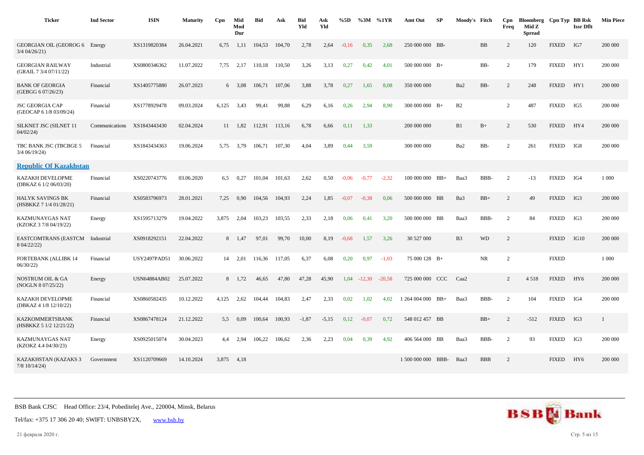| <b>Ticker</b>                                      | <b>Ind Sector</b> | <b>ISIN</b>         | <b>Maturity</b> | Cpn   | Mid<br>Mod<br>Dur | Bid    | Ask    | <b>Bid</b><br>Yld | Ask<br>Yld | %5D     | $\%3M$   | %1YR     | Amt Out            | <b>SP</b> | Moody's Fitch    |            | Cpn<br>Freq    | Bloomberg Cpn Typ BB Rsk<br>Mid Z<br><b>Spread</b> |              | <b>Issr Dflt</b> | <b>Min Piece</b> |
|----------------------------------------------------|-------------------|---------------------|-----------------|-------|-------------------|--------|--------|-------------------|------------|---------|----------|----------|--------------------|-----------|------------------|------------|----------------|----------------------------------------------------|--------------|------------------|------------------|
| GEORGIAN OIL (GEOROG 6<br>3/4 04/26/21)            | Energy            | XS1319820384        | 26.04.2021      | 6,75  | 1,11              | 104,53 | 104,70 | 2,78              | 2,64       | $-0,16$ | 0,35     | 2,68     | 250 000 000 BB-    |           |                  | <b>BB</b>  | 2              | 120                                                | <b>FIXED</b> | IG7              | 200 000          |
| <b>GEORGIAN RAILWAY</b><br>(GRAIL 7 3/4 07/11/22)  | Industrial        | XS0800346362        | 11.07.2022      | 7.75  | 2,17              | 110,18 | 110,50 | 3,26              | 3,13       | 0,27    | 0,42     | 4.01     | $500000000$ B+     |           |                  | BB-        | 2              | 179                                                | <b>FIXED</b> | HY1              | 200 000          |
| <b>BANK OF GEORGIA</b><br>(GEBGG 6 07/26/23)       | Financial         | XS1405775880        | 26.07.2023      |       | $6\quad 3.08$     | 106,71 | 107.06 | 3,88              | 3,78       | 0,27    | 1,65     | 8,08     | 350 000 000        |           | Ba2              | BB-        | 2              | 248                                                | <b>FIXED</b> | HY1              | 200 000          |
| <b>JSC GEORGIA CAP</b><br>(GEOCAP 6 1/8 03/09/24)  | Financial         | XS1778929478        | 09.03.2024      | 6,125 | 3,43              | 99,41  | 99,88  | 6,29              | 6,16       | 0,26    | 2,94     | 8,90     | $300000000B+$      |           | B2               |            | 2              | 487                                                | <b>FIXED</b> | IG5              | 200 000          |
| SILKNET JSC (SILNET 11<br>04/02/24                 | Communications    | XS1843443430        | 02.04.2024      | 11    | 1,82              | 112,91 | 113,16 | 6,78              | 6,66       | 0,11    | 1,33     |          | 200 000 000        |           | B1               | $B+$       | 2              | 530                                                | <b>FIXED</b> | HY4              | 200 000          |
| TBC BANK JSC (TBCBGE 5<br>$3/4$ 06/19/24)          | Financial         | XS1843434363        | 19.06.2024      |       | 5,75 3,79         | 106,71 | 107,30 | 4,04              | 3,89       | 0,44    | 3,59     |          | 300 000 000        |           | Ba2              | BB-        | 2              | 261                                                | <b>FIXED</b> | IG8              | 200 000          |
| <b>Republic Of Kazakhstan</b>                      |                   |                     |                 |       |                   |        |        |                   |            |         |          |          |                    |           |                  |            |                |                                                    |              |                  |                  |
| KAZAKH DEVELOPME<br>(DBKAZ 6 1/2 06/03/20)         | Financial         | XS0220743776        | 03.06.2020      | 6,5   | 0,27              | 101,04 | 101,63 | 2,62              | 0,50       | $-0.06$ | $-0,77$  | $-2,32$  | 100 000 000 BB+    |           | Baa3             | BBB-       | $\overline{c}$ | $-13$                                              | <b>FIXED</b> | IG4              | 1 000            |
| <b>HALYK SAVINGS BK</b><br>(HSBKKZ 7 1/4 01/28/21) | Financial         | XS0583796973        | 28.01.2021      | 7,25  | 0,90              | 104,56 | 104,93 | 2,24              | 1,85       | $-0.07$ | $-0.38$  | 0,06     | 500 000 000 BB     |           | Ba3              | $\rm BB+$  | $\overline{2}$ | 49                                                 | <b>FIXED</b> | IG3              | 200 000          |
| KAZMUNAYGAS NAT<br>(KZOKZ 3 7/8 04/19/22)          | Energy            | XS1595713279        | 19.04.2022      | 3,875 | 2,04              | 103,23 | 103,55 | 2,33              | 2,18       | 0,06    | 0,41     | 3,20     | 500 000 000 BB     |           | Baa3             | BBB-       | 2              | 84                                                 | <b>FIXED</b> | IG3              | 200 000          |
| <b>EASTCOMTRANS (EASTCM</b><br>8 04/22/22)         | Industrial        | XS0918292151        | 22.04.2022      | 8     | 1,47              | 97,01  | 99,70  | 10,00             | 8,19       | $-0.68$ | 1,57     | 3,26     | 30 527 000         |           | B <sub>3</sub>   | <b>WD</b>  | 2              |                                                    | <b>FIXED</b> | IG10             | 200 000          |
| FORTEBANK (ALLIBK 14<br>06/30/22                   | Financial         | <b>USY2497PAD51</b> | 30.06.2022      |       | 14 2.01           | 116,36 | 117,05 | 6,37              | 6,08       | 0,20    | 0,97     | $-1.03$  | 75 000 128 B+      |           |                  | <b>NR</b>  | 2              |                                                    | <b>FIXED</b> |                  | 1 000            |
| NOSTRUM OIL & GA<br>(NOGLN 8 07/25/22)             | Energy            | <b>USN64884AB02</b> | 25.07.2022      |       | 8 1,72            | 46,65  | 47,80  | 47,28             | 45,90      | 1,04    | $-12,30$ | $-20,58$ | 725 000 000 CCC    |           | Caa <sub>2</sub> |            | 2              | 4518                                               | <b>FIXED</b> | HY <sub>6</sub>  | 200 000          |
| KAZAKH DEVELOPME<br>(DBKAZ 4 1/8 12/10/22)         | Financial         | XS0860582435        | 10.12.2022      | 4,125 | 2,62              | 104,44 | 104,83 | 2,47              | 2,33       | 0,02    | 1,02     | 4,02     | 1 264 004 000      | $BB+$     | Baa3             | BBB-       | 2              | 104                                                | <b>FIXED</b> | IG4              | 200 000          |
| <b>KAZKOMMERTSBANK</b><br>(HSBKKZ 5 1/2 12/21/22)  | Financial         | XS0867478124        | 21.12.2022      | 5.5   | 0,09              | 100,64 | 100,93 | $-1,87$           | $-5,15$    | 0,12    | $-0.07$  | 0,72     | 548 012 457 BB     |           |                  | $BB+$      | $\overline{2}$ | $-512$                                             | <b>FIXED</b> | IG3              | -1               |
| KAZMUNAYGAS NAT<br>(KZOKZ 4.4 04/30/23)            | Energy            | XS0925015074        | 30.04.2023      | 4.4   | 2,94              | 106,22 | 106,62 | 2,36              | 2,23       | 0,04    | 0,39     | 4.92     | 406 564 000 BB     |           | Baa3             | BBB-       | 2              | 93                                                 | <b>FIXED</b> | IG3              | 200 000          |
| KAZAKHSTAN (KAZAKS 3<br>$7/8$ 10/14/24)            | Government        | XS1120709669        | 14.10.2024      | 3,875 | 4,18              |        |        |                   |            |         |          |          | 1 500 000 000 BBB- |           | Baa3             | <b>BBB</b> | 2              |                                                    | <b>FIXED</b> | HY <sub>6</sub>  | 200 000          |

Tel/fax: +375 17 306 20 40; SWIFT: UNBSBY2X, [www.bsb.by](https://www.bsb.by/)

21 февраля 2020 г. Стр. 5 из 15

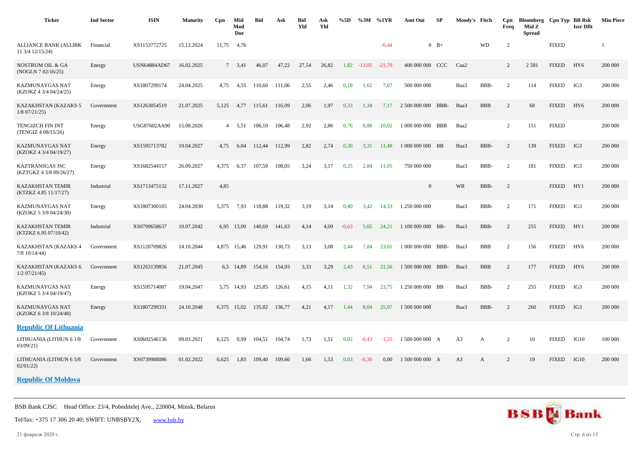| <b>Ticker</b>                                    | <b>Ind Sector</b> | <b>ISIN</b>         | <b>Maturity</b> | C <sub>pn</sub> | Mid<br>Mod<br>Dur | <b>Bid</b> | Ask    | <b>Bid</b><br>Yld | Ask<br>Yld | %5D     | $\%3M$   | %1YR     | Amt Out            | <b>SP</b> | Moody's Fitch  |            | Cpn<br>Freq    | Bloomberg Cpn Typ BB Rsk<br>Mid Z<br><b>Spread</b> |              | <b>Issr Dflt</b> | <b>Min Piece</b> |
|--------------------------------------------------|-------------------|---------------------|-----------------|-----------------|-------------------|------------|--------|-------------------|------------|---------|----------|----------|--------------------|-----------|----------------|------------|----------------|----------------------------------------------------|--------------|------------------|------------------|
| <b>ALLIANCE BANK (ALLIBK</b><br>11 3/4 12/15/24) | Financial         | XS1153772725        | 15.12.2024      | 11,75           | 4,76              |            |        |                   |            |         |          | $-6,44$  |                    | $0$ B+    |                | WD         | $\mathbf{2}$   |                                                    | <b>FIXED</b> |                  |                  |
| NOSTRUM OIL & GA<br>(NOGLN 7 02/16/25)           | Energy            | <b>USN64884AD67</b> | 16.02.2025      |                 | 7, 3,41           | 46,07      | 47,22  | 27,54             | 26,82      | 1,82    | $-13.05$ | $-21.70$ | 400 000 000 CCC    |           | Caa2           |            | $\overline{2}$ | 2 5 8 1                                            | <b>FIXED</b> | HY <sub>6</sub>  | 200 000          |
| KAZMUNAYGAS NAT<br>(KZOKZ 4 3/4 04/24/25)        | Energy            | XS1807299174        | 24.04.2025      | 4,75            | 4,55              | 110.60     | 111.06 | 2,55              | 2,46       | 0,18    | 1,62     | 7,67     | 500 000 000        |           | Baa3           | BBB-       | 2              | 114                                                | <b>FIXED</b> | IG3              | 200 000          |
| KAZAKHSTAN (KAZAKS 5<br>$1/8$ 07/21/25)          | Government        | XS1263054519        | 21.07.2025      | 5,125           | 4.77              | 115,61     | 116.09 | 2,06              | 1,97       | 0,33    | 1,34     | 7.17     | 2 500 000 000      | BBB-      | Baa3           | <b>BBB</b> | $\overline{c}$ | 68                                                 | <b>FIXED</b> | HY <sub>6</sub>  | 200 000          |
| TENGIZCH FIN INT<br>(TENGIZ 4 08/15/26)          | Energy            | USG87602AA90        | 15.08.2026      | 4               | 5,51              | 106,10     | 106,48 | 2,92              | 2,86       | 0,76    | 0,88     | 10,02    | 1 000 000 000 BBB  |           | Baa2           |            | $\overline{2}$ | 151                                                | <b>FIXED</b> |                  | 200 000          |
| KAZMUNAYGAS NAT<br>(KZOKZ 4 3/4 04/19/27)        | Energy            | XS1595713782        | 19.04.2027      | 4,75            | 6,04              | 112,44     | 112,99 | 2,82              | 2,74       | 0,30    | 3,31     | 11,48    | 1 000 000 000 BB   |           | Baa3           | BBB-       | $\sqrt{2}$     | 139                                                | <b>FIXED</b> | IG3              | 200 000          |
| KAZTRANSGAS JSC<br>(KZTGKZ 4 3/8 09/26/27)       | Energy            | XS1682544157        | 26.09.2027      | 4,375           | 6,37              | 107,59     | 108,05 | 3,24              | 3,17       | 0,25    | 2,84     | 11,05    | 750 000 000        |           | Baa3           | BBB-       | $\overline{c}$ | 181                                                | <b>FIXED</b> | IG3              | 200 000          |
| <b>KAZAKHSTAN TEMIR</b><br>(KTZKZ 4.85 11/17/27) | Industrial        | XS1713475132        | 17.11.2027      | 4,85            |                   |            |        |                   |            |         |          |          | $\overline{0}$     |           | WR             | BBB-       | 2              |                                                    | <b>FIXED</b> | HY1              | 200 000          |
| KAZMUNAYGAS NAT<br>(KZOKZ 5 3/8 04/24/30)        | Energy            | XS1807300105        | 24.04.2030      | 5,375           | 7,93              | 118.88     | 119,32 | 3,19              | 3,14       | 0,40    | 3,42     | 14.33    | 1 250 000 000      |           | Baa3           | BBB-       | 2              | 171                                                | <b>FIXED</b> | IG3              | 200 000          |
| <b>KAZAKHSTAN TEMIR</b><br>(KTZKZ 6.95 07/10/42) | Industrial        | XS0799658637        | 10.07.2042      |                 | 6,95 13,00        | 140,69     | 141,63 | 4,14              | 4,09       | $-0.63$ | 5,65     | 24,21    | 1 100 000 000 BB-  |           | Baa3           | BBB-       | 2              | 255                                                | <b>FIXED</b> | HY1              | 200 000          |
| KAZAKHSTAN (KAZAKS 4<br>7/8 10/14/44)            | Government        | XS1120709826        | 14.10.2044      | 4,875           | 15,46             | 129.91     | 130,73 | 3,13              | 3,08       | 2,44    | 7,84     | 23.61    | 1 000 000 000 BBB- |           | Baa3           | <b>BBB</b> | $\overline{2}$ | 156                                                | <b>FIXED</b> | HY <sub>6</sub>  | 200 000          |
| KAZAKHSTAN (KAZAKS 6<br>$1/2$ 07/21/45)          | Government        | XS1263139856        | 21.07.2045      |                 | 6,5 14,89         | 154,16     | 154,93 | 3,33              | 3,29       | 2,43    | 6,51     | 21,56    | 1 500 000 000 BBB- |           | Baa3           | <b>BBB</b> | $\overline{c}$ | 177                                                | <b>FIXED</b> | HY <sub>6</sub>  | 200 000          |
| KAZMUNAYGAS NAT<br>(KZOKZ 5 3/4 04/19/47)        | Energy            | XS1595714087        | 19.04.2047      | 5,75            | 14,93             | 125,85     | 126,61 | 4,15              | 4,11       | 1,32    | 7,94     | 23,75    | 1 250 000 000 BB   |           | Baa3           | BBB-       | $\overline{c}$ | 255                                                | <b>FIXED</b> | IG3              | 200 000          |
| KAZMUNAYGAS NAT<br>(KZOKZ 6 3/8 10/24/48)        | Energy            | XS1807299331        | 24.10.2048      |                 | 6,375 15,02       | 135,82     | 136,77 | 4,21              | 4,17       | 1,44    | 8,04     | 25,97    | 1 500 000 000      |           | Baa3           | BBB-       | 2              | 260                                                | <b>FIXED</b> | IG3              | 200 000          |
| <b>Republic Of Lithuania</b>                     |                   |                     |                 |                 |                   |            |        |                   |            |         |          |          |                    |           |                |            |                |                                                    |              |                  |                  |
| LITHUANIA (LITHUN 6 1/8<br>03/09/21              | Government        | XS0602546136        | 09.03.2021      | 6,125           | 0,99              | 104.51     | 104,74 | 1,73              | 1,51       | 0,02    | $-0,43$  | $-1,25$  | 1 500 000 000 A    |           | A3             | A          | $\overline{c}$ | 10                                                 | <b>FIXED</b> | IG10             | 100 000          |
| LITHUANIA (LITHUN 6 5/8<br>02/01/22              | Government        | XS0739988086        | 01.02.2022      | 6,625           | 1,83              | 109,40     | 109,66 | 1,66              | 1,53       | 0,03    | $-0,30$  | 0,00     | 1 500 000 000 A    |           | A <sub>3</sub> | A          | $\overline{c}$ | 19                                                 | <b>FIXED</b> | IG10             | 200 000          |

## **Republic Of Moldova**

BSB Bank CJSC Head Office: 23/4, Pobeditelej Ave., 220004, Minsk, Belarus

Tel/fax: +375 17 306 20 40; SWIFT: UNBSBY2X, [www.bsb.by](https://www.bsb.by/)

21 февраля 2020 г. Стр. 6 из 15

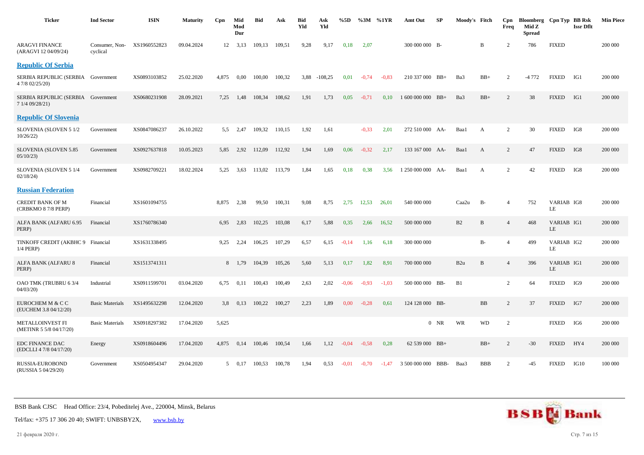| <b>Ticker</b>                                         | <b>Ind Sector</b>          | <b>ISIN</b>  | <b>Maturity</b> | Cpn   | Mid<br>Mod<br>Dur | <b>Bid</b> | Ask    | Bid<br>Yld | Ask<br>Yld | %5D     | %3M     | %1YR    | Amt Out         | SP     | Moody's Fitch |              | Cpn<br>Freq    | Bloomberg Cpn Typ BB Rsk<br>Mid Z<br><b>Spread</b> |                  | <b>Issr Dflt</b> | <b>Min Piece</b> |
|-------------------------------------------------------|----------------------------|--------------|-----------------|-------|-------------------|------------|--------|------------|------------|---------|---------|---------|-----------------|--------|---------------|--------------|----------------|----------------------------------------------------|------------------|------------------|------------------|
| <b>ARAGVI FINANCE</b><br>(ARAGVI 12 04/09/24)         | Consumer, Non-<br>cyclical | XS1960552823 | 09.04.2024      | 12    | 3,13              | 109,13     | 109,51 | 9.28       | 9,17       | 0,18    | 2,07    |         | 300 000 000 B-  |        |               | B            | $\overline{c}$ | 786                                                | <b>FIXED</b>     |                  | 200 000          |
| <b>Republic Of Serbia</b>                             |                            |              |                 |       |                   |            |        |            |            |         |         |         |                 |        |               |              |                |                                                    |                  |                  |                  |
| SERBIA REPUBLIC (SERBIA Government<br>4 7/8 02/25/20) |                            | XS0893103852 | 25.02.2020      | 4.875 | 0.00              | 100.00     | 100.32 | 3.88       | $-108,25$  | 0.01    | $-0.74$ | $-0.83$ | 210 337 000 BB+ |        | Ba3           | $BB+$        | $\overline{2}$ | $-4772$                                            | <b>FIXED</b>     | IG1              | 200 000          |
| SERBIA REPUBLIC (SERBIA Government<br>7 1/4 09/28/21) |                            | XS0680231908 | 28.09.2021      | 7,25  | 1,48              | 108,34     | 108,62 | 1,91       | 1,73       | 0,05    | $-0,71$ | 0,10    | 1 600 000 000   | $BB+$  | Ba3           | $BB+$        | 2              | 38                                                 | <b>FIXED</b>     | IG1              | 200 000          |
| <b>Republic Of Slovenia</b>                           |                            |              |                 |       |                   |            |        |            |            |         |         |         |                 |        |               |              |                |                                                    |                  |                  |                  |
| SLOVENIA (SLOVEN 5 1/2<br>10/26/22                    | Government                 | XS0847086237 | 26.10.2022      | 5.5   | 2,47              | 109,32     | 110,15 | 1,92       | 1,61       |         | $-0,33$ | 2,01    | 272 510 000 AA- |        | Baa1          | A            | $\overline{c}$ | 30                                                 | <b>FIXED</b>     | IG8              | 200 000          |
| SLOVENIA (SLOVEN 5.85<br>05/10/23                     | Government                 | XS0927637818 | 10.05.2023      | 5,85  | 2,92              | 112,09     | 112,92 | 1,94       | 1,69       | 0,06    | $-0,32$ | 2,17    | 133 167 000 AA- |        | Baa1          | $\mathbf{A}$ | 2              | 47                                                 | <b>FIXED</b>     | IG8              | 200 000          |
| SLOVENIA (SLOVEN 5 1/4<br>02/18/24                    | Government                 | XS0982709221 | 18.02.2024      | 5,25  | 3,63              | 113,02     | 113,79 | 1,84       | 1,65       | 0,18    | 0,38    | 3,56    | 1 250 000 000   | AA-    | Baa1          | A            | $\overline{c}$ | 42                                                 | <b>FIXED</b>     | IG8              | 200 000          |
| <b>Russian Federation</b>                             |                            |              |                 |       |                   |            |        |            |            |         |         |         |                 |        |               |              |                |                                                    |                  |                  |                  |
| <b>CREDIT BANK OF M</b><br>(CRBKMO 8 7/8 PERP)        | Financial                  | XS1601094755 |                 | 8.875 | 2,38              | 99,50      | 100,31 | 9,08       | 8,75       | 2,75    | 12,53   | 26,01   | 540 000 000     |        | Caa2u         | <b>B-</b>    | $\overline{A}$ | 752                                                | VARIAB IG8<br>LE |                  | 200 000          |
| ALFA BANK (ALFARU 6.95<br>PERP)                       | Financial                  | XS1760786340 |                 | 6,95  | 2,83              | 102,25     | 103,08 | 6,17       | 5,88       | 0,35    | 2,66    | 16,52   | 500 000 000     |        | B2            | B            | $\overline{4}$ | 468                                                | VARIAB IG1<br>LE |                  | 200 000          |
| TINKOFF CREDIT (AKBHC 9 Financial<br>1/4 PERP)        |                            | XS1631338495 |                 | 9,25  | 2,24              | 106,25     | 107,29 | 6,57       | 6,15       | $-0,14$ | 1,16    | 6,18    | 300 000 000     |        |               | <b>B-</b>    | $\overline{4}$ | 499                                                | VARIAB IG2<br>LE |                  | 200 000          |
| ALFA BANK (ALFARU 8<br>PERP)                          | Financial                  | XS1513741311 |                 | 8     | 1,79              | 104,39     | 105,26 | 5,60       | 5,13       | 0,17    | 1,82    | 8,91    | 700 000 000     |        | B2u           | $\, {\bf B}$ | $\overline{4}$ | 396                                                | VARIAB IG1<br>LE |                  | 200 000          |
| OAO TMK (TRUBRU 63/4<br>04/03/20                      | Industrial                 | XS0911599701 | 03.04.2020      | 6.75  | 0.11              | 100.43     | 100,49 | 2.63       | 2.02       | $-0.06$ | $-0.93$ | $-1.03$ | 500 000 000 BB- |        | B1            |              | 2              | 64                                                 | <b>FIXED</b>     | IG9              | 200 000          |
| EUROCHEM M & C C<br>(EUCHEM 3.8 04/12/20)             | <b>Basic Materials</b>     | XS1495632298 | 12.04.2020      | 3,8   | 0,13              | 100,22     | 100,27 | 2,23       | 1,89       | 0,00    | $-0,28$ | 0,61    | 124 128 000 BB- |        |               | <b>BB</b>    | $\overline{c}$ | 37                                                 | <b>FIXED</b>     | IG7              | 200 000          |
| <b>METALLOINVEST FI</b><br>(METINR 5 5/8 04/17/20)    | <b>Basic Materials</b>     | XS0918297382 | 17.04.2020      | 5,625 |                   |            |        |            |            |         |         |         |                 | $0$ NR | WR            | <b>WD</b>    | 2              |                                                    | <b>FIXED</b>     | IG6              | 200 000          |
| <b>EDC FINANCE DAC</b><br>(EDCLLI 4 7/8 04/17/20)     | Energy                     | XS0918604496 | 17.04.2020      | 4,875 | 0,14              | 100,46     | 100,54 | 1,66       | 1,12       | $-0.04$ | $-0,58$ | 0,28    | 62 539 000 BB+  |        |               | $BB+$        | 2              | $-30$                                              | <b>FIXED</b>     | HY4              | 200 000          |
| RUSSIA-EUROBOND<br>(RUSSIA 5 04/29/20)                | Government                 | XS0504954347 | 29.04.2020      | 5     | 0,17              | 100,53     | 100,78 | 1,94       | 0.53       | $-0.01$ | $-0,70$ | $-1,47$ | 3 500 000 000   | BBB-   | Baa3          | <b>BBB</b>   | $\overline{c}$ | $-45$                                              | <b>FIXED</b>     | IG10             | 100 000          |



21 февраля 2020 г. Стр. 7 из 15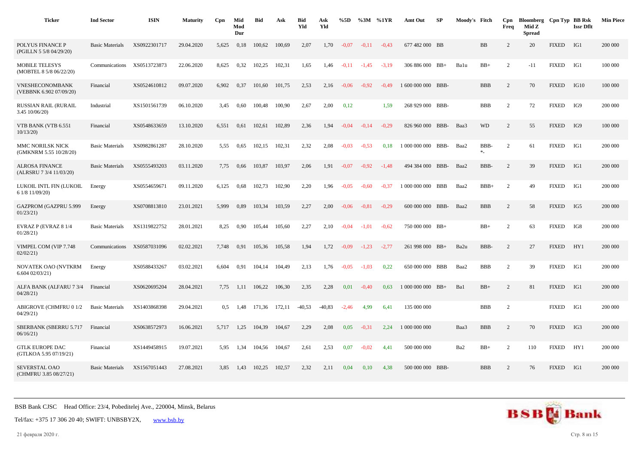| <b>Ticker</b>                                     | <b>Ind Sector</b>      | <b>ISIN</b>  | <b>Maturity</b> | Cpn           | Mid<br>Mod<br>Dur | Bid    | Ask    | <b>Bid</b><br>Yld | Ask<br>Yld | %5D     |         | %3M %1YR | Amt Out            | SP    | Moody's Fitch |                  | Cpn<br>Freq    | Bloomberg Cpn Typ BB Rsk<br>Mid Z<br><b>Spread</b> |              | <b>Issr Dflt</b> | <b>Min Piece</b> |
|---------------------------------------------------|------------------------|--------------|-----------------|---------------|-------------------|--------|--------|-------------------|------------|---------|---------|----------|--------------------|-------|---------------|------------------|----------------|----------------------------------------------------|--------------|------------------|------------------|
| POLYUS FINANCE P<br>(PGILLN 5 5/8 04/29/20)       | <b>Basic Materials</b> | XS0922301717 | 29.04.2020      | 5,625         | 0,18              | 100,62 | 100,69 | 2,07              | 1,70       | $-0.07$ | $-0.11$ | $-0.43$  | 677 482 000 BB     |       |               | BB               | 2              | 20                                                 | <b>FIXED</b> | IG1              | 200 000          |
| <b>MOBILE TELESYS</b><br>(MOBTEL 8 5/8 06/22/20)  | Communications         | XS0513723873 | 22.06.2020      | 8,625         | 0,32              | 102,25 | 102,31 | 1,65              | 1,46       | $-0.11$ | $-1,45$ | $-3,19$  | 306 886 000 BB+    |       | Balu          | $BB+$            | $\overline{2}$ | $-11$                                              | <b>FIXED</b> | IG1              | 100 000          |
| <b>VNESHECONOMBANK</b><br>(VEBBNK 6.902 07/09/20) | Financial              | XS0524610812 | 09.07.2020      | 6,902         | 0,37              | 101,60 | 101,75 | 2,53              | 2,16       | $-0.06$ | $-0.92$ | $-0.49$  | 1 600 000 000 BBB- |       |               | <b>BBB</b>       | $\overline{c}$ | 70                                                 | <b>FIXED</b> | IG10             | 100 000          |
| RUSSIAN RAIL (RURAIL<br>3.45 10/06/20)            | Industrial             | XS1501561739 | 06.10.2020      | 3,45          | 0,60              | 100,48 | 100,90 | 2,67              | 2,00       | 0,12    |         | 1,59     | 268 929 000 BBB-   |       |               | <b>BBB</b>       | 2              | 72                                                 | <b>FIXED</b> | IG9              | 200 000          |
| VTB BANK (VTB 6.551<br>10/13/20                   | Financial              | XS0548633659 | 13.10.2020      | 6,551         | 0,61              | 102.61 | 102,89 | 2,36              | 1,94       | $-0.04$ | $-0.14$ | $-0.29$  | 826 960 000 BBB-   |       | Baa3          | <b>WD</b>        | 2              | 55                                                 | <b>FIXED</b> | IG9              | 100 000          |
| MMC NORILSK NICK<br>(GMKNRM 5.55 10/28/20)        | <b>Basic Materials</b> | XS0982861287 | 28.10.2020      | 5,55          | 0.65              | 102,15 | 102,31 | 2,32              | 2,08       | $-0.03$ | $-0.53$ | 0,18     | 1 000 000 000      | BBB-  | Baa2          | BBB-<br>$\ast_-$ | 2              | 61                                                 | <b>FIXED</b> | IG1              | 200 000          |
| <b>ALROSA FINANCE</b><br>(ALRSRU 7 3/4 11/03/20)  | <b>Basic Materials</b> | XS0555493203 | 03.11.2020      | 7,75          | 0,66              | 103,87 | 103,97 | 2,06              | 1,91       | $-0.07$ | $-0.92$ | $-1,48$  | 494 384 000 BBB-   |       | Baa2          | BBB-             | 2              | 39                                                 | <b>FIXED</b> | IG1              | 200 000          |
| LUKOIL INTL FIN (LUKOIL<br>6 1/8 11/09/20)        | Energy                 | XS0554659671 | 09.11.2020      | 6,125         | 0.68              | 102,73 | 102,90 | 2,20              | 1,96       | $-0.05$ | $-0.60$ | $-0.37$  | 1 000 000 000 BBB  |       | Baa2          | $BBB+$           | 2              | 49                                                 | <b>FIXED</b> | IG1              | 200 000          |
| GAZPROM (GAZPRU 5.999<br>01/23/21                 | Energy                 | XS0708813810 | 23.01.2021      | 5,999         | 0,89              | 103,34 | 103,59 | 2,27              | 2,00       | $-0.06$ | $-0.81$ | $-0.29$  | 600 000 000 BBB-   |       | Baa2          | <b>BBB</b>       | 2              | 58                                                 | <b>FIXED</b> | IG5              | 200 000          |
| EVRAZ P (EVRAZ 8 1/4<br>01/28/21                  | <b>Basic Materials</b> | XS1319822752 | 28.01.2021      | 8,25          | 0,90              | 105,44 | 105,60 | 2,27              | 2,10       | $-0.04$ | $-1,01$ | $-0.62$  | 750 000 000 BB+    |       |               | $BB+$            | 2              | 63                                                 | <b>FIXED</b> | IG8              | 200 000          |
| VIMPEL COM (VIP 7.748<br>02/02/21                 | Communications         | XS0587031096 | 02.02.2021      | 7,748         | 0.91              | 105,36 | 105,58 | 1,94              | 1,72       | $-0.09$ | $-1,23$ | $-2,77$  | 261 998 000 BB+    |       | Ba2u          | BBB-             | 2              | 27                                                 | <b>FIXED</b> | HY1              | 200 000          |
| NOVATEK OAO (NVTKRM<br>6.60402/03/21)             | Energy                 | XS0588433267 | 03.02.2021      | 6.604         | 0,91              | 104.14 | 104.49 | 2,13              | 1,76       | $-0.05$ | $-1.03$ | 0.22     | 650 000 000        | BBB   | Baa2          | <b>BBB</b>       | 2              | 39                                                 | <b>FIXED</b> | IG1              | 200 000          |
| ALFA BANK (ALFARU 7 3/4<br>04/28/21               | Financial              | XS0620695204 | 28.04.2021      | 7,75          | 1,11              | 106,22 | 106,30 | 2,35              | 2,28       | 0,01    | $-0,40$ | 0,63     | 1 000 000 000      | $BB+$ | Ba1           | $BB+$            | 2              | 81                                                 | <b>FIXED</b> | IG1              | 200 000          |
| ABIGROVE (CHMFRU 0 1/2<br>04/29/21                | <b>Basic Materials</b> | XS1403868398 | 29.04.2021      | $0.5^{\circ}$ | 1,48              | 171,36 | 172,11 | $-40,53$          | $-40,83$   | $-2,46$ | 4,99    | 6,41     | 135 000 000        |       |               | <b>BBB</b>       | $\overline{2}$ |                                                    | <b>FIXED</b> | IG1              | 200 000          |
| SBERBANK (SBERRU 5.717<br>06/16/21)               | Financial              | XS0638572973 | 16.06.2021      | 5.717         | 1,25              | 104.39 | 104.67 | 2,29              | 2,08       | 0,05    | $-0.31$ | 2.24     | 1 000 000 000      |       | Baa3          | <b>BBB</b>       | 2              | 70                                                 | <b>FIXED</b> | IG3              | 200 000          |
| <b>GTLK EUROPE DAC</b><br>(GTLKOA 5.95 07/19/21)  | Financial              | XS1449458915 | 19.07.2021      | 5,95          | 1,34              | 104,56 | 104,67 | 2,61              | 2,53       | 0,07    | $-0.02$ | 4,41     | 500 000 000        |       | Ba2           | $BB+$            | 2              | 110                                                | <b>FIXED</b> | HY1              | 200 000          |
| SEVERSTAL OAO<br>(CHMFRU 3.85 08/27/21)           | <b>Basic Materials</b> | XS1567051443 | 27.08.2021      | 3,85          | 1,43              | 102,25 | 102,57 | 2,32              | 2,11       | 0,04    | 0,10    | 4,38     | 500 000 000 BBB-   |       |               | <b>BBB</b>       | 2              | 76                                                 | <b>FIXED</b> | IG1              | 200 000          |

21 февраля 2020 г. Стр. 8 из 15

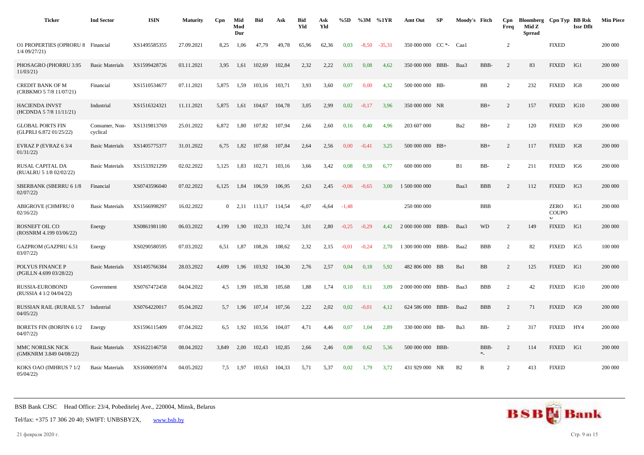| <b>Ticker</b>                                        | <b>Ind Sector</b>          | <b>ISIN</b>  | <b>Maturity</b> | Cpn   | Mid<br>Mod<br>Dur | <b>Bid</b> | Ask    | <b>Bid</b><br>Yld | Ask<br>Yld | %5D     |         | %3M %1YR | Amt Out                | SP   | Moody's Fitch  |                  | Cpn<br>Freq    | Bloomberg Cpn Typ BB Rsk<br>Mid Z<br><b>Spread</b> |                            | <b>Issr Dflt</b> | <b>Min Piece</b> |
|------------------------------------------------------|----------------------------|--------------|-----------------|-------|-------------------|------------|--------|-------------------|------------|---------|---------|----------|------------------------|------|----------------|------------------|----------------|----------------------------------------------------|----------------------------|------------------|------------------|
| O1 PROPERTIES (OPRORU 8 Financial<br>$1/4$ 09/27/21) |                            | XS1495585355 | 27.09.2021      | 8,25  | 1,06              | 47,79      | 49,78  | 65,96             | 62,36      | 0,03    | $-8,50$ | $-35,31$ | 350 000 000 CC *- Caa1 |      |                |                  | $\overline{2}$ |                                                    | <b>FIXED</b>               |                  | 200 000          |
| PHOSAGRO (PHORRU 3.95<br>11/03/21                    | <b>Basic Materials</b>     | XS1599428726 | 03.11.2021      | 3.95  | 1,61              | 102,69     | 102,84 | 2,32              | 2,22       | 0,03    | 0,08    | 4,62     | 350 000 000 BBB-       |      | Baa3           | BBB-             | 2              | 83                                                 | <b>FIXED</b>               | IG1              | 200 000          |
| <b>CREDIT BANK OF M</b><br>(CRBKMO 5 7/8 11/07/21)   | Financial                  | XS1510534677 | 07.11.2021      | 5,875 | 1,59              | 103,16     | 103,71 | 3,93              | 3,60       | 0,07    | 0,00    | 4,32     | 500 000 000 BB-        |      |                | BB               | $\overline{2}$ | 232                                                | <b>FIXED</b>               | IG8              | 200 000          |
| <b>HACIENDA INVST</b><br>(HCDNDA 5 7/8 11/11/21)     | Industrial                 | XS1516324321 | 11.11.2021      | 5,875 | 1,61              | 104,67     | 104,78 | 3,05              | 2,99       | 0,02    | $-0,17$ | 3,96     | 350 000 000 NR         |      |                | $BB+$            | $\overline{2}$ | 157                                                | <b>FIXED</b>               | IG10             | 200 000          |
| <b>GLOBAL PORTS FIN</b><br>(GLPRLI 6.872 01/25/22)   | Consumer, Non-<br>cyclical | XS1319813769 | 25.01.2022      | 6.872 | 1,80              | 107,82     | 107,94 | 2,66              | 2,60       | 0,16    | 0,40    | 4.96     | 203 607 000            |      | Ba2            | $BB+$            | $\overline{c}$ | 120                                                | <b>FIXED</b>               | IG9              | 200 000          |
| EVRAZ P (EVRAZ 6 3/4<br>01/31/22                     | <b>Basic Materials</b>     | XS1405775377 | 31.01.2022      | 6,75  | 1,82              | 107,68     | 107,84 | 2,64              | 2,56       | 0,00    | $-0,41$ | 3,25     | $50000000$ BB+         |      |                | $BB+$            | 2              | 117                                                | <b>FIXED</b>               | IG8              | 200 000          |
| RUSAL CAPITAL DA<br>(RUALRU 5 1/8 02/02/22)          | <b>Basic Materials</b>     | XS1533921299 | 02.02.2022      | 5,125 | 1,83              | 102,71     | 103,16 | 3,66              | 3,42       | 0,08    | 0,59    | 6,77     | 600 000 000            |      | B1             | BB-              | $\overline{c}$ | 211                                                | <b>FIXED</b>               | IG6              | 200 000          |
| SBERBANK (SBERRU 6 1/8<br>02/07/22                   | Financial                  | XS0743596040 | 07.02.2022      | 6,125 | 1,84              | 106,59     | 106,95 | 2,63              | 2,45       | $-0.06$ | $-0,65$ | 3,00     | 1 500 000 000          |      | Baa3           | <b>BBB</b>       | 2              | 112                                                | <b>FIXED</b>               | IG3              | 200 000          |
| ABIGROVE (CHMFRU 0<br>02/16/22                       | <b>Basic Materials</b>     | XS1566998297 | 16.02.2022      |       | $0$ 2,11 113,17   |            | 114,54 | $-6,07$           | $-6,64$    | $-1,48$ |         |          | 250 000 000            |      |                | <b>BBB</b>       |                |                                                    | ZERO<br>COUPO<br><b>NT</b> | IG1              | 200 000          |
| <b>ROSNEFT OIL CO</b><br>(ROSNRM 4.199 03/06/22)     | Energy                     | XS0861981180 | 06.03.2022      | 4.199 | 1.90              | 102.33     | 102.74 | 3.01              | 2.80       | $-0.25$ | $-0.29$ | 4.42     | 2 000 000 000 BBB-     |      | Baa3           | <b>WD</b>        | 2              | 149                                                | <b>FIXED</b>               | IG1              | 200 000          |
| GAZPROM (GAZPRU 6.51<br>03/07/22                     | Energy                     | XS0290580595 | 07.03.2022      | 6,51  | 1,87              | 108,26     | 108,62 | 2,32              | 2,15       | $-0.01$ | $-0,24$ | 2,70     | 1 300 000 000          | BBB- | Baa2           | <b>BBB</b>       | $\overline{2}$ | 82                                                 | <b>FIXED</b>               | IG5              | 100 000          |
| POLYUS FINANCE P<br>(PGILLN 4.699 03/28/22)          | <b>Basic Materials</b>     | XS1405766384 | 28.03.2022      | 4.699 | 1,96              | 103,92     | 104,30 | 2,76              | 2,57       | 0,04    | 0,18    | 5,92     | 482 806 000 BB         |      | Ba1            | <b>BB</b>        | $\overline{c}$ | 125                                                | <b>FIXED</b>               | IG1              | 200 000          |
| RUSSIA-EUROBOND<br>(RUSSIA 4 1/2 04/04/22)           | Government                 | XS0767472458 | 04.04.2022      | 4,5   | 1,99              | 105,38     | 105,68 | 1,88              | 1,74       | 0,10    | 0,11    | 3,09     | 2 000 000 000          | BBB- | Baa3           | <b>BBB</b>       | $\overline{c}$ | 42                                                 | <b>FIXED</b>               | IG10             | 200 000          |
| <b>RUSSIAN RAIL (RURAIL 5.7</b><br>04/05/22          | Industrial                 | XS0764220017 | 05.04.2022      | 5.7   | 1,96              | 107,14     | 107,56 | 2,22              | 2,02       | 0,02    | $-0.01$ | 4.12     | 624 586 000 BBB-       |      | Baa2           | <b>BBB</b>       | 2              | 71                                                 | <b>FIXED</b>               | IG9              | 200 000          |
| <b>BORETS FIN (BORFIN 61/2)</b><br>04/07/22          | Energy                     | XS1596115409 | 07.04.2022      | 6,5   | 1.92              | 103,56     | 104,07 | 4,71              | 4,46       | 0,07    | 1,04    | 2,89     | 330 000 000 BB-        |      | Ba3            | BB-              | $\overline{2}$ | 317                                                | <b>FIXED</b>               | HY4              | 200 000          |
| MMC NORILSK NICK<br>(GMKNRM 3.849 04/08/22)          | <b>Basic Materials</b>     | XS1622146758 | 08.04.2022      | 3,849 | 2,00              | 102,43     | 102,85 | 2,66              | 2,46       | 0,08    | 0,62    | 5,36     | 500 000 000 BBB-       |      |                | BBB-<br>$\ast_-$ | $\overline{c}$ | 114                                                | <b>FIXED</b>               | IG1              | 200 000          |
| KOKS OAO (IMHRUS 7 1/2<br>05/04/22                   | <b>Basic Materials</b>     | XS1600695974 | 04.05.2022      | 7.5   | 1.97              | 103.63     | 104.33 | 5,71              | 5,37       | 0.02    | 1.79    | 3.72     | 431 929 000 NR         |      | B <sub>2</sub> | $\mathbf{B}$     | $\mathcal{D}$  | 413                                                | <b>FIXED</b>               |                  | 200 000          |

Tel/fax: +375 17 306 20 40; SWIFT: UNBSBY2X, [www.bsb.by](https://www.bsb.by/)

21 февраля 2020 г. Стр. 9 из 15

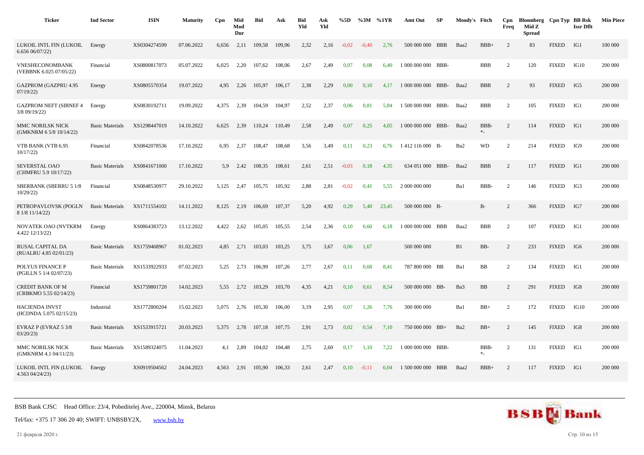| <b>Ticker</b>                                     | <b>Ind Sector</b>      | <b>ISIN</b>  | <b>Maturity</b> | Cpn   | Mid<br>Mod<br>Dur | <b>Bid</b> | Ask    | <b>Bid</b><br>Yld | Ask<br>Yld | %5D     | %3M     | %1YR  | Amt Out            | SP | Moody's Fitch |                  | Cpn<br>Freq    | Bloomberg Cpn Typ BB Rsk<br>Mid Z<br><b>Spread</b> |              | <b>Issr Dflt</b> | <b>Min Piece</b> |
|---------------------------------------------------|------------------------|--------------|-----------------|-------|-------------------|------------|--------|-------------------|------------|---------|---------|-------|--------------------|----|---------------|------------------|----------------|----------------------------------------------------|--------------|------------------|------------------|
| LUKOIL INTL FIN (LUKOIL<br>6.65606/07/22          | Energy                 | XS0304274599 | 07.06.2022      | 6,656 | 2,11              | 109,58     | 109.96 | 2,32              | 2,16       | $-0.02$ | $-0,40$ | 2,76  | 500 000 000 BBB    |    | Baa2          | $BBB+$           | 2              | 83                                                 | <b>FIXED</b> | IG1              | 100 000          |
| VNESHECONOMBANK<br>(VEBBNK 6.025 07/05/22)        | Financial              | XS0800817073 | 05.07.2022      | 6,025 | 2,20              | 107,62     | 108,06 | 2,67              | 2,49       | 0,07    | 0.08    | 6,40  | 1 000 000 000 BBB- |    |               | <b>BBB</b>       | 2              | 120                                                | <b>FIXED</b> | IG10             | 200 000          |
| <b>GAZPROM (GAZPRU 4.95</b><br>07/19/22           | Energy                 | XS0805570354 | 19.07.2022      | 4.95  | 2,26              | 105,97     | 106,17 | 2,38              | 2,29       | 0,00    | 0,10    | 4.17  | 1 000 000 000 BBB- |    | Baa2          | <b>BBB</b>       | 2              | 93                                                 | <b>FIXED</b> | IG5              | 200 000          |
| <b>GAZPROM NEFT (SIBNEF 4</b><br>3/8 09/19/22)    | Energy                 | XS0830192711 | 19.09.2022      | 4,375 | 2,39              | 104,59     | 104,97 | 2,52              | 2,37       | 0,06    | 0.81    | 5,84  | 1 500 000 000 BBB- |    | Baa2          | <b>BBB</b>       | 2              | 105                                                | <b>FIXED</b> | IG1              | 200 000          |
| MMC NORILSK NICK<br>(GMKNRM 6 5/8 10/14/22)       | <b>Basic Materials</b> | XS1298447019 | 14.10.2022      | 6,625 | 2,39              | 110,24     | 110,49 | 2,58              | 2,49       | 0,07    | 0,25    | 4,05  | 1 000 000 000 BBB- |    | Baa2          | BBB-<br>$\ast_-$ | 2              | 114                                                | <b>FIXED</b> | IG1              | 200 000          |
| VTB BANK (VTB 6.95<br>10/17/22                    | Financial              | XS0842078536 | 17.10.2022      | 6.95  | 2,37              | 108,47     | 108.68 | 3,56              | 3,49       | 0.11    | 0.23    | 6.76  | 1412 116 000 B-    |    | Ba2           | <b>WD</b>        | 2              | 214                                                | <b>FIXED</b> | IG9              | 200 000          |
| SEVERSTAL OAO<br>(CHMFRU 5.9 10/17/22)            | <b>Basic Materials</b> | XS0841671000 | 17.10.2022      | 5.9   | 2,42              | 108,35     | 108,61 | 2,61              | 2,51       | $-0.03$ | 0,18    | 4,35  | 634 051 000 BBB-   |    | Baa2          | <b>BBB</b>       | 2              | 117                                                | <b>FIXED</b> | IG1              | 200 000          |
| <b>SBERBANK (SBERRU 5 1/8</b><br>10/29/22         | Financial              | XS0848530977 | 29.10.2022      | 5,125 | 2,47              | 105,75     | 105,92 | 2,88              | 2,81       | $-0,02$ | 0,41    | 5.55  | 2 000 000 000      |    | Ba1           | BBB-             | $\overline{c}$ | 146                                                | <b>FIXED</b> | IG3              | 200 000          |
| PETROPAVLOVSK (POGLN<br>8 1/8 11/14/22)           | <b>Basic Materials</b> | XS1711554102 | 14.11.2022      | 8,125 | 2,19              | 106,69     | 107,37 | 5,20              | 4,92       | 0,29    | 5,40    | 23,45 | 500 000 000 B-     |    |               | $B-$             | 2              | 366                                                | <b>FIXED</b> | IG7              | 200 000          |
| NOVATEK OAO (NVTKRM<br>4.422 12/13/22)            | Energy                 | XS0864383723 | 13.12.2022      | 4,422 | 2,62              | 105,05     | 105,55 | 2,54              | 2,36       | 0,10    | 0,60    | 6,18  | 1 000 000 000 BBB  |    | Baa2          | <b>BBB</b>       | 2              | 107                                                | <b>FIXED</b> | IG1              | 200 000          |
| RUSAL CAPITAL DA<br>(RUALRU 4.85 02/01/23)        | <b>Basic Materials</b> | XS1759468967 | 01.02.2023      | 4.85  | 2,71              | 103,03     | 103,25 | 3,75              | 3,67       | 0,06    | 1,67    |       | 500 000 000        |    | B1            | BB-              | 2              | 233                                                | <b>FIXED</b> | IG6              | 200 000          |
| POLYUS FINANCE P<br>(PGILLN 5 1/4 02/07/23)       | <b>Basic Materials</b> | XS1533922933 | 07.02.2023      | 5,25  | 2,73              | 106,99     | 107,26 | 2,77              | 2,67       | 0,11    | 0.68    | 8,41  | 787 800 000 BB     |    | Ba1           | BB               | 2              | 134                                                | <b>FIXED</b> | IG1              | 200 000          |
| <b>CREDIT BANK OF M</b><br>(CRBKMO 5.55 02/14/23) | Financial              | XS1759801720 | 14.02.2023      | 5,55  | 2,72              | 103,29     | 103,70 | 4,35              | 4,21       | 0,10    | 0,61    | 8,54  | 500 000 000 BB-    |    | Ba3           | BB               | 2              | 291                                                | <b>FIXED</b> | IG8              | 200 000          |
| <b>HACIENDA INVST</b><br>(HCDNDA 5.075 02/15/23)  | Industrial             | XS1772800204 | 15.02.2023      | 5,075 | 2,76              | 105,30     | 106,00 | 3,19              | 2,95       | 0,07    | 1,26    | 7,76  | 300 000 000        |    | Ba1           | $BB+$            | 2              | 172                                                | <b>FIXED</b> | IG10             | 200 000          |
| EVRAZ P (EVRAZ 5 3/8<br>03/20/23                  | <b>Basic Materials</b> | XS1533915721 | 20.03.2023      | 5,375 | 2,78              | 107,18     | 107,75 | 2,91              | 2,73       | 0,02    | 0,54    | 7,10  | 750 000 000 BB+    |    | Ba2           | $BB+$            | 2              | 145                                                | <b>FIXED</b> | IG8              | 200 000          |
| MMC NORILSK NICK<br>(GMKNRM 4.1 04/11/23)         | <b>Basic Materials</b> | XS1589324075 | 11.04.2023      | 4,1   | 2.89              | 104,02     | 104,48 | 2,75              | 2,60       | 0,17    | 1,10    | 7.22  | 1 000 000 000 BBB- |    |               | BBB-<br>$\ast_-$ | 2              | 131                                                | <b>FIXED</b> | IG1              | 200 000          |
| LUKOIL INTL FIN (LUKOIL<br>4.563 04/24/23)        | Energy                 | XS0919504562 | 24.04.2023      | 4,563 | 2,91              | 105,90     | 106,33 | 2,61              | 2,47       | 0,10    | $-0,11$ | 6,04  | 1 500 000 000 BBB  |    | Baa2          | $BBB+$           | 2              | 117                                                | <b>FIXED</b> | IG1              | 200 000          |



21 февраля 2020 г. Стр. 10 из 15

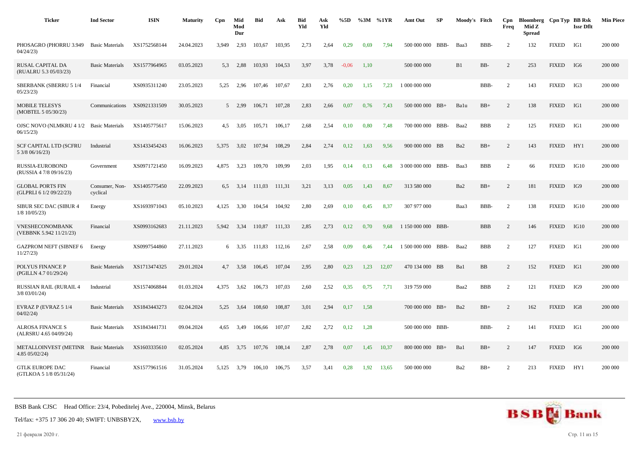| <b>Ticker</b>                                      | <b>Ind Sector</b>          | <b>ISIN</b>  | <b>Maturity</b> | Cpn   | Mid<br>Mod<br>Dur | <b>Bid</b> | Ask    | <b>Bid</b><br>Yld | Ask<br>Yld | %5D     |      | %3M %1YR | Amt Out            | SP   | Moody's Fitch |            | Cpn<br>Freq    | Bloomberg Cpn Typ BB Rsk<br>Mid Z<br><b>Spread</b> |              | <b>Issr Dflt</b> | <b>Min Piece</b> |
|----------------------------------------------------|----------------------------|--------------|-----------------|-------|-------------------|------------|--------|-------------------|------------|---------|------|----------|--------------------|------|---------------|------------|----------------|----------------------------------------------------|--------------|------------------|------------------|
| PHOSAGRO (PHORRU 3.949<br>04/24/23                 | <b>Basic Materials</b>     | XS1752568144 | 24.04.2023      | 3.949 | 2,93              | 103,67     | 103,95 | 2,73              | 2,64       | 0.29    | 0.69 | 7.94     | 500 000 000 BBB-   |      | Baa3          | BBB-       | $\overline{2}$ | 132                                                | <b>FIXED</b> | IG1              | 200 000          |
| RUSAL CAPITAL DA<br>(RUALRU 5.3 05/03/23)          | <b>Basic Materials</b>     | XS1577964965 | 03.05.2023      | 5.3   | 2,88              | 103,93     | 104,53 | 3,97              | 3,78       | $-0.06$ | 1,10 |          | 500 000 000        |      | B1            | BB-        | 2              | 253                                                | <b>FIXED</b> | IG6              | 200 000          |
| <b>SBERBANK (SBERRU 5 1/4</b><br>05/23/23          | Financial                  | XS0935311240 | 23.05.2023      | 5,25  | 2,96              | 107,46     | 107,67 | 2,83              | 2,76       | 0,20    | 1,15 | 7,23     | 1 000 000 000      |      |               | BBB-       | 2              | 143                                                | <b>FIXED</b> | IG3              | 200 000          |
| <b>MOBILE TELESYS</b><br>(MOBTEL 5 05/30/23)       | Communications             | XS0921331509 | 30.05.2023      |       | 5 2,99            | 106,71     | 107,28 | 2,83              | 2,66       | 0,07    | 0,76 | 7,43     | $50000000$ BB+     |      | Balu          | $BB+$      | 2              | 138                                                | <b>FIXED</b> | IG1              | 200 000          |
| OJSC NOVO (NLMKRU 4 1/2<br>06/15/23                | <b>Basic Materials</b>     | XS1405775617 | 15.06.2023      | 4,5   | 3,05              | 105,71     | 106,17 | 2,68              | 2,54       | 0,10    | 0,80 | 7.48     | 700 000 000 BBB-   |      | Baa2          | <b>BBB</b> | 2              | 125                                                | <b>FIXED</b> | IG1              | 200 000          |
| <b>SCF CAPITAL LTD (SCFRU</b><br>5 3/8 06/16/23)   | Industrial                 | XS1433454243 | 16.06.2023      | 5,375 | 3,02              | 107,94     | 108,29 | 2,84              | 2,74       | 0,12    | 1,63 | 9,56     | 900 000 000 BB     |      | Ba2           | $BB+$      | 2              | 143                                                | <b>FIXED</b> | HY1              | 200 000          |
| RUSSIA-EUROBOND<br>(RUSSIA 4 7/8 09/16/23)         | Government                 | XS0971721450 | 16.09.2023      | 4.875 | 3,23              | 109.70     | 109.99 | 2,03              | 1,95       | 0,14    | 0,13 | 6.48     | 3 000 000 000 BBB- |      | Baa3          | <b>BBB</b> | 2              | 66                                                 | <b>FIXED</b> | IG10             | 200 000          |
| <b>GLOBAL PORTS FIN</b><br>(GLPRLI 6 1/2 09/22/23) | Consumer, Non-<br>cyclical | XS1405775450 | 22.09.2023      | 6.5   | 3,14              | 111,03     | 111,31 | 3,21              | 3,13       | 0,05    | 1,43 | 8,67     | 313 580 000        |      | Ba2           | $BB+$      | 2              | 181                                                | <b>FIXED</b> | IG9              | 200 000          |
| SIBUR SEC DAC (SIBUR 4<br>$1/8$ 10/05/23)          | Energy                     | XS1693971043 | 05.10.2023      | 4,125 | 3,30              | 104,54     | 104,92 | 2,80              | 2,69       | 0,10    | 0,45 | 8,37     | 307 977 000        |      | Baa3          | BBB-       | 2              | 138                                                | <b>FIXED</b> | IG10             | 200 000          |
| <b>VNESHECONOMBANK</b><br>(VEBBNK 5.942 11/21/23)  | Financial                  | XS0993162683 | 21.11.2023      | 5.942 | 3,34              | 110,87     | 111,33 | 2,85              | 2,73       | 0,12    | 0,70 | 9,68     | 1 150 000 000 BBB- |      |               | <b>BBB</b> | $\overline{c}$ | 146                                                | <b>FIXED</b> | IG10             | 200 000          |
| <b>GAZPROM NEFT (SIBNEF 6</b><br>11/27/23          | Energy                     | XS0997544860 | 27.11.2023      |       | $6\quad 3.35$     | 111,83     | 112,16 | 2,67              | 2,58       | 0,09    | 0,46 | 7,44     | 1 500 000 000      | BBB- | Baa2          | <b>BBB</b> | $\overline{c}$ | 127                                                | <b>FIXED</b> | IG1              | 200 000          |
| POLYUS FINANCE P<br>(PGILLN 4.7 01/29/24)          | <b>Basic Materials</b>     | XS1713474325 | 29.01.2024      | 4.7   | 3.58              | 106.45     | 107.04 | 2,95              | 2,80       | 0.23    | 1.23 | 12.07    | 470 134 000 BB     |      | Ba1           | <b>BB</b>  | 2              | 152                                                | <b>FIXED</b> | IG1              | 200 000          |
| <b>RUSSIAN RAIL (RURAIL 4</b><br>$3/8$ 03/01/24)   | Industrial                 | XS1574068844 | 01.03.2024      | 4,375 | 3,62              | 106,73     | 107,03 | 2,60              | 2,52       | 0,35    | 0,75 | 7,71     | 319 759 000        |      | Baa2          | <b>BBB</b> | $\overline{2}$ | 121                                                | <b>FIXED</b> | IG9              | 200 000          |
| EVRAZ P (EVRAZ 5 1/4<br>04/02/24                   | <b>Basic Materials</b>     | XS1843443273 | 02.04.2024      | 5,25  | 3,64              | 108,60     | 108,87 | 3,01              | 2,94       | 0,17    | 1,58 |          | $700000000$ BB+    |      | Ba2           | $BB+$      | $\overline{2}$ | 162                                                | <b>FIXED</b> | IG8              | 200 000          |
| <b>ALROSA FINANCE S</b><br>(ALRSRU 4.65 04/09/24)  | <b>Basic Materials</b>     | XS1843441731 | 09.04.2024      | 4,65  | 3,49              | 106,66     | 107,07 | 2,82              | 2,72       | 0,12    | 1,28 |          | 500 000 000 BBB-   |      |               | BBB-       | $\overline{2}$ | 141                                                | <b>FIXED</b> | IG1              | 200 000          |
| <b>METALLOINVEST (METINR</b><br>4.85 05/02/24)     | <b>Basic Materials</b>     | XS1603335610 | 02.05.2024      | 4.85  | 3,75              | 107.76     | 108,14 | 2,87              | 2,78       | 0,07    | 1,45 | 10,37    | 800 000 000 BB+    |      | Ba1           | $BB+$      | $\overline{2}$ | 147                                                | <b>FIXED</b> | IG6              | 200 000          |
| <b>GTLK EUROPE DAC</b><br>(GTLKOA 5 1/8 05/31/24)  | Financial                  | XS1577961516 | 31.05.2024      | 5,125 | 3,79              | 106,10     | 106,75 | 3,57              | 3,41       | 0,28    | 1,92 | 13,65    | 500 000 000        |      | Ba2           | $BB+$      | $\overline{2}$ | 213                                                | <b>FIXED</b> | HY1              | 200 000          |

Tel/fax: +375 17 306 20 40; SWIFT: UNBSBY2X, [www.bsb.by](https://www.bsb.by/)

21 февраля 2020 г. Стр. 11 из 15

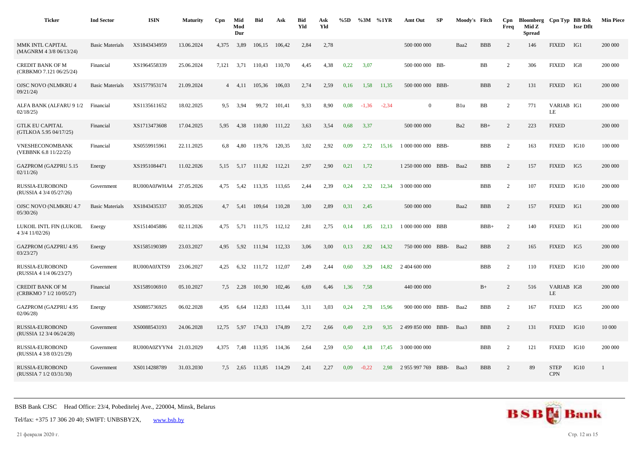| <b>Ticker</b>                                      | <b>Ind Sector</b>      | <b>ISIN</b>             | <b>Maturity</b> | Cpn   | Mid<br>Mod<br>Dur | <b>Bid</b>         | Ask    | <b>Bid</b><br>Yld | Ask<br>Yld | %5D  |         | $\%3M$ %1YR | Amt Out            | -SP | Moody's Fitch |            | Cpn<br>Freq    | Bloomberg Cpn Typ BB Rsk<br>Mid Z<br><b>Spread</b> |                           | <b>Issr Dflt</b> | <b>Min Piece</b> |
|----------------------------------------------------|------------------------|-------------------------|-----------------|-------|-------------------|--------------------|--------|-------------------|------------|------|---------|-------------|--------------------|-----|---------------|------------|----------------|----------------------------------------------------|---------------------------|------------------|------------------|
| MMK INTL CAPITAL<br>(MAGNRM 4 3/8 06/13/24)        | <b>Basic Materials</b> | XS1843434959            | 13.06.2024      | 4,375 | 3,89              | 106,15             | 106,42 | 2,84              | 2,78       |      |         |             | 500 000 000        |     | Baa2          | <b>BBB</b> | 2              | 146                                                | <b>FIXED</b>              | IG1              | 200 000          |
| CREDIT BANK OF M<br>(CRBKMO 7.121 06/25/24)        | Financial              | XS1964558339            | 25.06.2024      | 7,121 | 3,71              | 110,43             | 110,70 | 4,45              | 4,38       | 0,22 | 3,07    |             | 500 000 000 BB-    |     |               | BB         | $\overline{c}$ | 306                                                | <b>FIXED</b>              | IG8              | 200 000          |
| <b>OJSC NOVO (NLMKRU 4</b><br>09/21/24             | <b>Basic Materials</b> | XS1577953174            | 21.09.2024      |       | $4 \quad 4.11$    | 105,36             | 106,03 | 2,74              | 2,59       | 0,16 | 1,58    | 11,35       | 500 000 000 BBB-   |     |               | <b>BBB</b> | 2              | 131                                                | <b>FIXED</b>              | IG1              | 200 000          |
| ALFA BANK (ALFARU 9 1/2<br>02/18/25                | Financial              | XS1135611652            | 18.02.2025      | 9.5   | 3,94              | 99,72              | 101,41 | 9,33              | 8,90       | 0,08 | $-1,36$ | $-2,34$     | $\overline{0}$     |     | B1u           | BB         | 2              | 771                                                | VARIAB IG1<br>LE          |                  | 200 000          |
| <b>GTLK EU CAPITAL</b><br>(GTLKOA 5.95 04/17/25)   | Financial              | XS1713473608            | 17.04.2025      | 5,95  | 4,38              | 110,80             | 111,22 | 3,63              | 3,54       | 0,68 | 3,37    |             | 500 000 000        |     | Ba2           | $BB+$      | 2              | 223                                                | <b>FIXED</b>              |                  | 200 000          |
| VNESHECONOMBANK<br>(VEBBNK 6.8 11/22/25)           | Financial              | XS0559915961            | 22.11.2025      | 6,8   | 4,80              | 119,76             | 120,35 | 3,02              | 2,92       | 0,09 | 2,72    | 15,16       | 1 000 000 000 BBB- |     |               | <b>BBB</b> | 2              | 163                                                | <b>FIXED</b>              | IG10             | 100 000          |
| <b>GAZPROM (GAZPRU 5.15</b><br>02/11/26            | Energy                 | XS1951084471            | 11.02.2026      | 5,15  | 5,17              | 111,82             | 112,21 | 2,97              | 2,90       | 0,21 | 1,72    |             | 1 250 000 000 BBB- |     | Baa2          | <b>BBB</b> | 2              | 157                                                | <b>FIXED</b>              | IG5              | 200 000          |
| RUSSIA-EUROBOND<br>(RUSSIA 4 3/4 05/27/26)         | Government             | RU000A0JWHA4 27.05.2026 |                 | 4,75  | 5,42              | 113,35             | 113,65 | 2,44              | 2,39       | 0,24 | 2,32    | 12,34       | 3 000 000 000      |     |               | <b>BBB</b> | $\overline{c}$ | 107                                                | <b>FIXED</b>              | IG10             | 200 000          |
| OJSC NOVO (NLMKRU 4.7<br>05/30/26                  | <b>Basic Materials</b> | XS1843435337            | 30.05.2026      | 4,7   | 5,41              | 109,64             | 110,28 | 3,00              | 2,89       | 0,31 | 2,45    |             | 500 000 000        |     | Baa2          | <b>BBB</b> | 2              | 157                                                | <b>FIXED</b>              | IG1              | 200 000          |
| LUKOIL INTL FIN (LUKOIL<br>4 3/4 11/02/26)         | Energy                 | XS1514045886            | 02.11.2026      | 4,75  |                   | 5,71 111,75 112,12 |        | 2,81              | 2,75       | 0,14 | 1,85    | 12,13       | 1 000 000 000 BBB  |     |               | $BBB+$     | $\overline{c}$ | 140                                                | <b>FIXED</b>              | IG1              | 200 000          |
| <b>GAZPROM (GAZPRU 4.95</b><br>03/23/27            | Energy                 | XS1585190389            | 23.03.2027      | 4.95  | 5.92              | 111.94             | 112.33 | 3,06              | 3,00       | 0,13 | 2.82    | 14.32       | 750 000 000 BBB-   |     | Baa2          | <b>BBB</b> | 2              | 165                                                | <b>FIXED</b>              | IG5              | 200 000          |
| <b>RUSSIA-EUROBOND</b><br>(RUSSIA 4 1/4 06/23/27)  | Government             | RU000A0JXTS9            | 23.06.2027      | 4,25  | 6,32              | 111,72             | 112,07 | 2,49              | 2,44       | 0,60 | 3,29    | 14,82       | 2 404 600 000      |     |               | <b>BBB</b> | 2              | 110                                                | <b>FIXED</b>              | IG10             | 200 000          |
| <b>CREDIT BANK OF M</b><br>(CRBKMO 7 1/2 10/05/27) | Financial              | XS1589106910            | 05.10.2027      | 7.5   | 2,28              | 101,90             | 102,46 | 6,69              | 6,46       | 1,36 | 7.58    |             | 440 000 000        |     |               | $B+$       | 2              | 516                                                | VARIAB IG8<br><b>LE</b>   |                  | 200 000          |
| <b>GAZPROM (GAZPRU 4.95</b><br>02/06/28            | Energy                 | XS0885736925            | 06.02.2028      | 4,95  | 6,64              | 112,83             | 113,44 | 3,11              | 3,03       | 0,24 | 2,78    | 15,96       | 900 000 000 BBB-   |     | Baa2          | <b>BBB</b> | 2              | 167                                                | <b>FIXED</b>              | IG5              | 200 000          |
| RUSSIA-EUROBOND<br>(RUSSIA 12 3/4 06/24/28)        | Government             | XS0088543193            | 24.06.2028      | 12,75 | 5,97              | 174,33             | 174,89 | 2,72              | 2,66       | 0,49 | 2,19    | 9,35        | 2 499 850 000 BBB- |     | Baa3          | <b>BBB</b> | 2              | 131                                                | <b>FIXED</b>              | IG10             | 10 000           |
| RUSSIA-EUROBOND<br>(RUSSIA 4 3/8 03/21/29)         | Government             | RU000A0ZYYN4 21.03.2029 |                 | 4,375 | 7,48              | 113,95             | 114,36 | 2,64              | 2,59       | 0,50 | 4,18    | 17,45       | 3 000 000 000      |     |               | <b>BBB</b> | 2              | 121                                                | <b>FIXED</b>              | IG10             | 200 000          |
| RUSSIA-EUROBOND<br>(RUSSIA 7 1/2 03/31/30)         | Government             | XS0114288789            | 31.03.2030      |       | $7,5$ 2,65        | 113,85             | 114,29 | 2,41              | 2,27       | 0,09 | $-0,22$ | 2,98        | 2 955 997 769 BBB- |     | Baa3          | <b>BBB</b> | 2              | 89                                                 | <b>STEP</b><br><b>CPN</b> | IG10             | 1                |

Tel/fax: +375 17 306 20 40; SWIFT: UNBSBY2X, [www.bsb.by](https://www.bsb.by/)

21 февраля 2020 г. Стр. 12 из 15

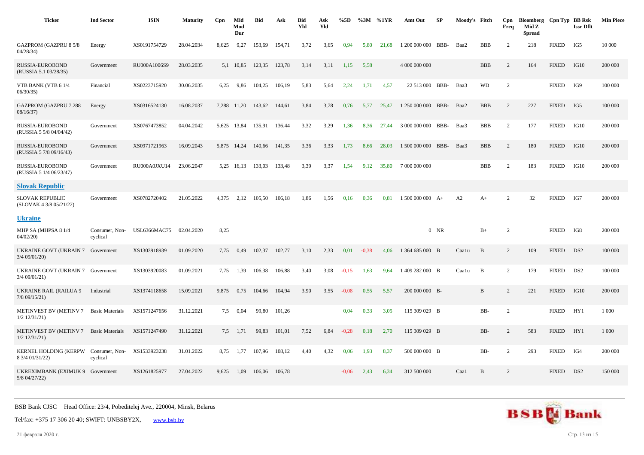| <b>Ticker</b>                                           | <b>Ind Sector</b>          | <b>ISIN</b>         | <b>Maturity</b> | Cpn   | Mid<br>Mod<br>Dur | <b>Bid</b> | Ask    | <b>Bid</b><br>Yld | Ask<br>Yld | %5D     | %3M     | %1YR  | Amt Out            | SP     | Moody's Fitch |              | Cpn<br>Freq | Bloomberg<br>Mid Z<br><b>Spread</b> | Cpn Typ BB Rsk | <b>Issr Dflt</b> | <b>Min Piece</b> |
|---------------------------------------------------------|----------------------------|---------------------|-----------------|-------|-------------------|------------|--------|-------------------|------------|---------|---------|-------|--------------------|--------|---------------|--------------|-------------|-------------------------------------|----------------|------------------|------------------|
| <b>GAZPROM (GAZPRU 8 5/8</b><br>04/28/34                | Energy                     | XS0191754729        | 28.04.2034      | 8,625 | 9,27              | 153,69     | 154,71 | 3,72              | 3,65       | 0.94    | 5,80    | 21.68 | 1 200 000 000 BBB- |        | Baa2          | <b>BBB</b>   | 2           | 218                                 | <b>FIXED</b>   | IG5              | 10 000           |
| RUSSIA-EUROBOND<br>(RUSSIA 5.1 03/28/35)                | Government                 | RU000A1006S9        | 28.03.2035      | 5,1   | 10,85             | 123,35     | 123,78 | 3,14              | 3,11       | 1,15    | 5,58    |       | 4 000 000 000      |        |               | <b>BBB</b>   | 2           | 164                                 | <b>FIXED</b>   | IG10             | 200 000          |
| VTB BANK (VTB 6 1/4<br>06/30/35                         | Financial                  | XS0223715920        | 30.06.2035      | 6,25  | 9,86              | 104,25     | 106,19 | 5,83              | 5,64       | 2,24    | 1,71    | 4,57  | 22 513 000         | BBB-   | Baa3          | <b>WD</b>    | 2           |                                     | <b>FIXED</b>   | IG9              | 100 000          |
| <b>GAZPROM (GAZPRU 7.288</b><br>08/16/37                | Energy                     | XS0316524130        | 16.08.2037      |       | 7,288 11,20       | 143,62     | 144,61 | 3,84              | 3,78       | 0,76    | 5,77    | 25,47 | 1 250 000 000 BBB- |        | Baa2          | <b>BBB</b>   | 2           | 227                                 | <b>FIXED</b>   | IG5              | 100 000          |
| RUSSIA-EUROBOND<br>(RUSSIA 5 5/8 04/04/42)              | Government                 | XS0767473852        | 04.04.2042      |       | 5,625 13,84       | 135,91     | 136,44 | 3,32              | 3,29       | 1,36    | 8,36    | 27,44 | 3 000 000 000 BBB- |        | Baa3          | <b>BBB</b>   | 2           | 177                                 | <b>FIXED</b>   | IG10             | 200 000          |
| RUSSIA-EUROBOND<br>(RUSSIA 5 7/8 09/16/43)              | Government                 | XS0971721963        | 16.09.2043      |       | 5,875 14,24       | 140,66     | 141,35 | 3,36              | 3,33       | 1,73    | 8,66    | 28,03 | 1 500 000 000 BBB- |        | Baa3          | <b>BBB</b>   | 2           | 180                                 | <b>FIXED</b>   | IG10             | 200 000          |
| RUSSIA-EUROBOND<br>(RUSSIA 5 1/4 06/23/47)              | Government                 | RU000A0JXU14        | 23.06.2047      |       | 5,25 16,13        | 133,03     | 133,48 | 3,39              | 3,37       | 1,54    | 9,12    | 35,80 | 7 000 000 000      |        |               | <b>BBB</b>   | 2           | 183                                 | <b>FIXED</b>   | IG10             | 200 000          |
| <b>Slovak Republic</b>                                  |                            |                     |                 |       |                   |            |        |                   |            |         |         |       |                    |        |               |              |             |                                     |                |                  |                  |
| <b>SLOVAK REPUBLIC</b><br>(SLOVAK 4 3/8 05/21/22)       | Government                 | XS0782720402        | 21.05.2022      | 4.375 | 2,12              | 105,50     | 106,18 | 1,86              | 1,56       | 0,16    | 0,36    | 0,81  | $1500000000 A+$    |        | A2            | $A+$         | 2           | 32                                  | <b>FIXED</b>   | IG7              | 200 000          |
| <b>Ukraine</b>                                          |                            |                     |                 |       |                   |            |        |                   |            |         |         |       |                    |        |               |              |             |                                     |                |                  |                  |
| MHP SA (MHPSA 81/4<br>04/02/20                          | Consumer, Non-<br>cyclical | <b>USL6366MAC75</b> | 02.04.2020      | 8,25  |                   |            |        |                   |            |         |         |       |                    | $0$ NR |               | $B+$         | 2           |                                     | <b>FIXED</b>   | IG8              | 200 000          |
| UKRAINE GOVT (UKRAIN 7 Government<br>3/4 09/01/20)      |                            | XS1303918939        | 01.09.2020      | 7,75  | 0,49              | 102,37     | 102,77 | 3,10              | 2,33       | 0,01    | $-0.38$ | 4,06  | 1 364 685 000 B    |        | Caalu         | B            | 2           | 109                                 | <b>FIXED</b>   | DS <sub>2</sub>  | 100 000          |
| UKRAINE GOVT (UKRAIN 7 Government<br>3/4 09/01/21)      |                            | XS1303920083        | 01.09.2021      | 7,75  | 1,39              | 106,38     | 106,88 | 3,40              | 3,08       | $-0,15$ | 1.63    | 9.64  | 1409 282 000 B     |        | Caalu         | B            | 2           | 179                                 | <b>FIXED</b>   | DS <sub>2</sub>  | 100 000          |
| UKRAINE RAIL (RAILUA 9<br>7/8 09/15/21)                 | Industrial                 | XS1374118658        | 15.09.2021      | 9,875 | 0,75              | 104,66     | 104,94 | 3,90              | 3,55       | $-0,08$ | 0,55    | 5,57  | 200 000 000 B-     |        |               | B            | 2           | 221                                 | <b>FIXED</b>   | IG10             | 200 000          |
| METINVEST BV (METINV 7<br>$1/2$ $12/31/21$ )            | <b>Basic Materials</b>     | XS1571247656        | 31.12.2021      | 7,5   | 0,04              | 99,80      | 101,26 |                   |            | 0,04    | 0,33    | 3,05  | 115 309 029 B      |        |               | BB-          | 2           |                                     | <b>FIXED</b>   | HY <sub>1</sub>  | 1 0 0 0          |
| METINVEST BV (METINV 7<br>$1/2$ $12/31/21$              | <b>Basic Materials</b>     | XS1571247490        | 31.12.2021      | 7.5   | 1,71              | 99,83      | 101,01 | 7,52              | 6,84       | $-0,28$ | 0.18    | 2,70  | 115 309 029 B      |        |               | BB-          | 2           | 583                                 | <b>FIXED</b>   | HY1              | 1 0 0 0          |
| KERNEL HOLDING (KERPW Consumer, Non-<br>8 3/4 01/31/22) | cyclical                   | XS1533923238        | 31.01.2022      | 8,75  | 1,77              | 107,96     | 108,12 | 4,40              | 4,32       | 0,06    | 1,93    | 8,37  | 500 000 000 B      |        |               | BB-          | 2           | 293                                 | <b>FIXED</b>   | IG4              | 200 000          |
| UKREXIMBANK (EXIMUK 9 Government<br>5/8 04/27/22)       |                            | XS1261825977        | 27.04.2022      | 9.625 | 1,09              | 106,06     | 106,78 |                   |            | $-0.06$ | 2,43    | 6,34  | 312 500 000        |        | Caa1          | $\mathbf{B}$ | 2           |                                     | <b>FIXED</b>   | DS <sub>2</sub>  | 150 000          |

Tel/fax: +375 17 306 20 40; SWIFT: UNBSBY2X, [www.bsb.by](https://www.bsb.by/)

21 февраля 2020 г. Стр. 13 из 15

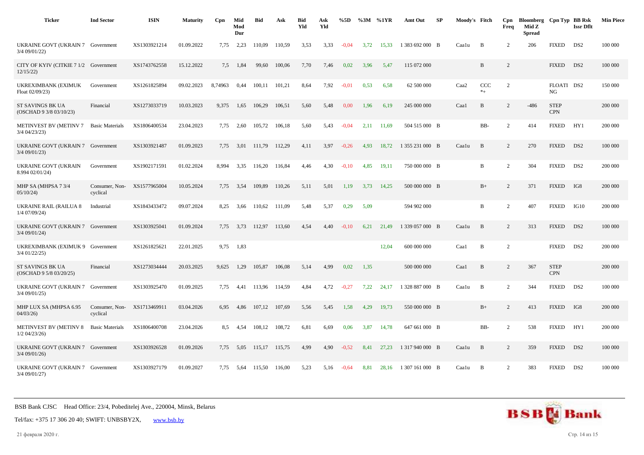| <b>Ticker</b>                                      | <b>Ind Sector</b>                       | <b>ISIN</b>  | <b>Maturity</b> | Cpn     | Mid<br>Mod<br>Dur | <b>Bid</b>  | Ask    | <b>Bid</b><br>Yld | Ask<br>Yld | %5D     | %3M  | %1YR  | Amt Out         | SP | Moody's Fitch    |                | Cpn<br>Freq    | Bloomberg Cpn Typ BB Rsk<br>Mid Z<br><b>Spread</b> |                           | <b>Issr Dflt</b> | <b>Min Piece</b> |
|----------------------------------------------------|-----------------------------------------|--------------|-----------------|---------|-------------------|-------------|--------|-------------------|------------|---------|------|-------|-----------------|----|------------------|----------------|----------------|----------------------------------------------------|---------------------------|------------------|------------------|
| UKRAINE GOVT (UKRAIN 7 Government<br>3/4 09/01/22) |                                         | XS1303921214 | 01.09.2022      | 7,75    | 2,23              | 110,09      | 110.59 | 3,53              | 3,33       | $-0.04$ | 3.72 | 15,33 | 1 383 692 000 B |    | Caalu            | B              | 2              | 206                                                | <b>FIXED</b>              | DS <sub>2</sub>  | 100 000          |
| CITY OF KYIV (CITKIE 7 1/2 Government<br>12/15/22  |                                         | XS1743762558 | 15.12.2022      | 7,5     | 1,84              | 99,60       | 100,06 | 7,70              | 7,46       | 0,02    | 3,96 | 5,47  | 115 072 000     |    |                  | $\, {\bf B}$   | 2              |                                                    | <b>FIXED</b>              | DS <sub>2</sub>  | 100 000          |
| UKREXIMBANK (EXIMUK<br>Float 02/09/23)             | Government                              | XS1261825894 | 09.02.2023      | 8,74963 | 0.44              | 100.11      | 101,21 | 8.64              | 7,92       | $-0.01$ | 0.53 | 6.58  | 62 500 000      |    | Caa <sub>2</sub> | CCC<br>$*_{+}$ | 2              |                                                    | FLOATI DS2<br>NG          |                  | 150 000          |
| ST SAVINGS BK UA<br>(OSCHAD 9 3/8 03/10/23)        | Financial                               | XS1273033719 | 10.03.2023      | 9,375   | 1,65              | 106,29      | 106,51 | 5,60              | 5,48       | 0,00    | 1,96 | 6,19  | 245 000 000     |    | Caa1             | $\, {\bf B}$   | 2              | $-486$                                             | <b>STEP</b><br><b>CPN</b> |                  | 200 000          |
| METINVEST BV (METINV 7<br>3/4 04/23/23)            | <b>Basic Materials</b>                  | XS1806400534 | 23.04.2023      | 7,75    | 2,60              | 105,72      | 106,18 | 5,60              | 5,43       | $-0.04$ | 2,11 | 11,69 | 504 515 000 B   |    |                  | BB-            | $\overline{2}$ | 414                                                | <b>FIXED</b>              | HY1              | 200 000          |
| UKRAINE GOVT (UKRAIN 7<br>$3/4$ 09/01/23)          | Government                              | XS1303921487 | 01.09.2023      | 7.75    | 3.01              | 111.79      | 112.29 | 4.11              | 3.97       | $-0.26$ | 4.93 | 18.72 | 1 355 231 000 B |    | Caalu            | $\mathbf{B}$   | 2              | 270                                                | <b>FIXED</b>              | DS <sub>2</sub>  | 100 000          |
| <b>UKRAINE GOVT (UKRAIN</b><br>8.994 02/01/24)     | Government                              | XS1902171591 | 01.02.2024      | 8.994   | 3,35              | 116,20      | 116,84 | 4,46              | 4,30       | $-0,10$ | 4,85 | 19,11 | 750 000 000 B   |    |                  | $\, {\bf B}$   | 2              | 304                                                | <b>FIXED</b>              | DS <sub>2</sub>  | 200 000          |
| MHP SA (MHPSA 7 3/4<br>05/10/24                    | Consumer, Non- XS1577965004<br>cyclical |              | 10.05.2024      | 7.75    | 3.54              | 109,89      | 110,26 | 5,11              | 5,01       | 1,19    | 3,73 | 14,25 | 500 000 000 B   |    |                  | $B+$           | 2              | 371                                                | <b>FIXED</b>              | IG8              | 200 000          |
| <b>UKRAINE RAIL (RAILUA 8</b><br>1/4 07/09/24)     | Industrial                              | XS1843433472 | 09.07.2024      | 8,25    | 3.66              | 110,62      | 111,09 | 5,48              | 5,37       | 0,29    | 5,09 |       | 594 902 000     |    |                  | $\mathbf B$    | 2              | 407                                                | <b>FIXED</b>              | IG10             | 200 000          |
| UKRAINE GOVT (UKRAIN 7 Government<br>3/4 09/01/24) |                                         | XS1303925041 | 01.09.2024      | 7,75    |                   | 3,73 112,97 | 113,60 | 4,54              | 4,40       | $-0,10$ | 6,21 | 21,49 | 1 339 057 000 B |    | Caalu            | B              | 2              | 313                                                | <b>FIXED</b>              | DS <sub>2</sub>  | 100 000          |
| UKREXIMBANK (EXIMUK 9 Government<br>3/4 01/22/25)  |                                         | XS1261825621 | 22.01.2025      | 9,75    | 1,83              |             |        |                   |            |         |      | 12,04 | 600 000 000     |    | Caa1             | B              | $\overline{2}$ |                                                    | <b>FIXED</b>              | DS <sub>2</sub>  | 200 000          |
| ST SAVINGS BK UA<br>(OSCHAD 9 5/8 03/20/25)        | Financial                               | XS1273034444 | 20.03.2025      | 9.625   | 1,29              | 105.87      | 106,08 | 5,14              | 4,99       | 0.02    | 1,35 |       | 500 000 000     |    | Caa1             | B              | 2              | 367                                                | <b>STEP</b><br><b>CPN</b> |                  | 200 000          |
| UKRAINE GOVT (UKRAIN 7<br>3/4 09/01/25)            | Government                              | XS1303925470 | 01.09.2025      | 7,75    | 4,41              | 113,96      | 114,59 | 4,84              | 4,72       | $-0,27$ | 7,22 | 24,17 | 1 328 887 000 B |    | Caalu            | B              | 2              | 344                                                | <b>FIXED</b>              | DS <sub>2</sub>  | 100 000          |
| MHP LUX SA (MHPSA 6.95<br>04/03/26                 | Consumer, Non-<br>cyclical              | XS1713469911 | 03.04.2026      | 6,95    | 4,86              | 107,12      | 107,69 | 5,56              | 5,45       | 1,58    | 4,29 | 19,73 | 550 000 000 B   |    |                  | $B+$           | 2              | 413                                                | <b>FIXED</b>              | IG8              | 200 000          |
| <b>METINVEST BV (METINV 8)</b><br>$1/2$ 04/23/26)  | <b>Basic Materials</b>                  | XS1806400708 | 23.04.2026      | 8,5     | 4,54              | 108,12      | 108,72 | 6,81              | 6,69       | 0,06    | 3,87 | 14,78 | 647 661 000 B   |    |                  | BB-            | 2              | 538                                                | <b>FIXED</b>              | HY1              | 200 000          |
| UKRAINE GOVT (UKRAIN 7 Government<br>3/4 09/01/26) |                                         | XS1303926528 | 01.09.2026      | 7,75    | 5,05              | 115,17      | 115,75 | 4,99              | 4,90       | $-0.52$ | 8,41 | 27.23 | 1 317 940 000 B |    | Caalu            | B              | 2              | 359                                                | <b>FIXED</b>              | DS <sub>2</sub>  | 100 000          |
| UKRAINE GOVT (UKRAIN 7 Government<br>3/4 09/01/27) |                                         | XS1303927179 | 01.09.2027      | 7,75    | 5,64              | 115,50      | 116,00 | 5,23              | 5,16       | $-0,64$ | 8,81 | 28,16 | 1 307 161 000 B |    | Caalu            | B              | 2              | 383                                                | <b>FIXED</b>              | DS <sub>2</sub>  | 100 000          |



21 февраля 2020 г. Стр. 14 из 15